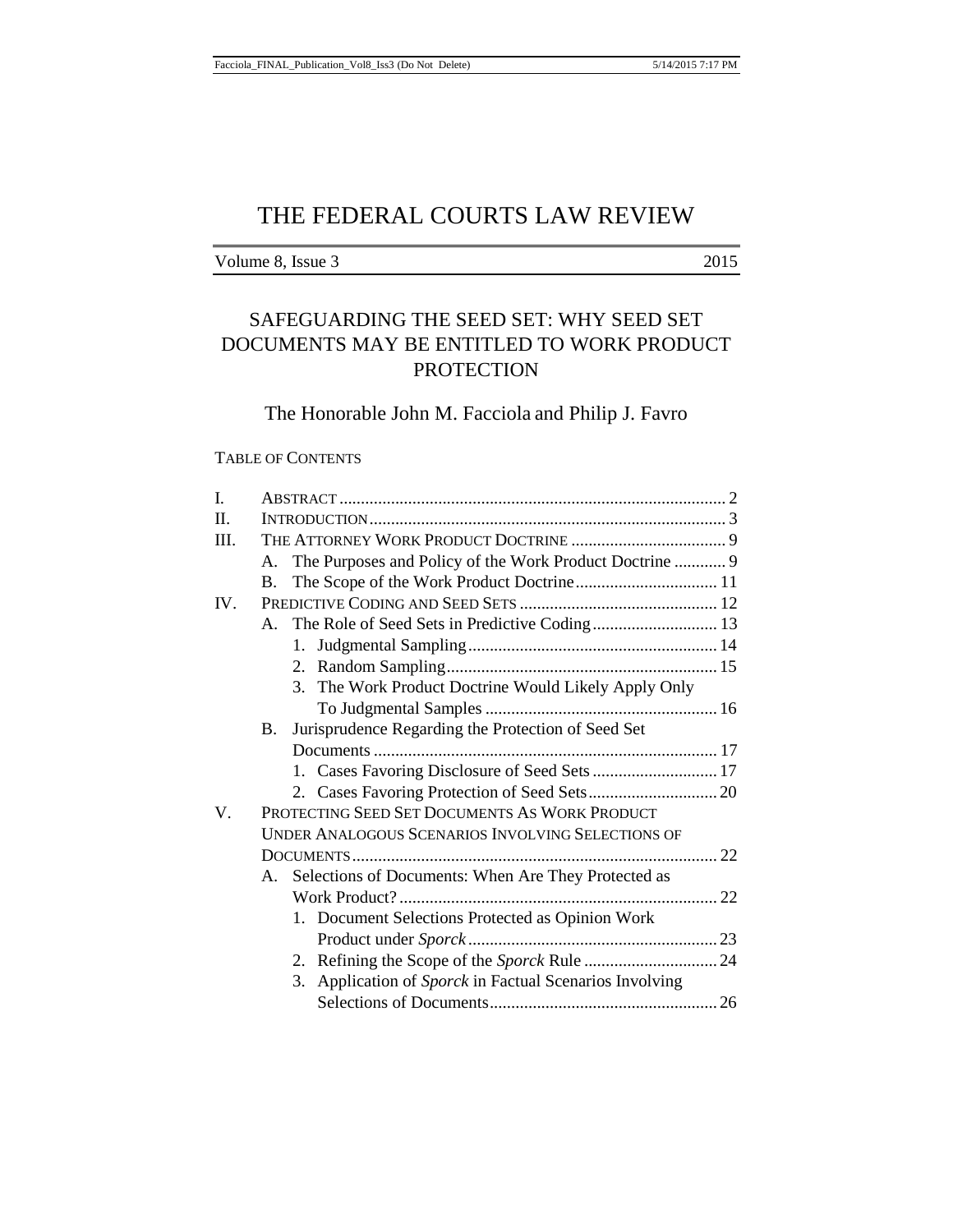Volume 8, Issue 3 2015

# SAFEGUARDING THE SEED SET: WHY SEED SET DOCUMENTS MAY BE ENTITLED TO WORK PRODUCT **PROTECTION**

# The Honorable John M. Facciola and Philip J. Favro

# TABLE OF CONTENTS

| L       |                                                   |                                                            |  |  |  |
|---------|---------------------------------------------------|------------------------------------------------------------|--|--|--|
| $\Pi$ . |                                                   |                                                            |  |  |  |
| Ш.      |                                                   |                                                            |  |  |  |
|         |                                                   | A. The Purposes and Policy of the Work Product Doctrine  9 |  |  |  |
|         | <b>B.</b>                                         |                                                            |  |  |  |
| IV.     |                                                   |                                                            |  |  |  |
|         | A. The Role of Seed Sets in Predictive Coding 13  |                                                            |  |  |  |
|         |                                                   |                                                            |  |  |  |
|         |                                                   |                                                            |  |  |  |
|         |                                                   | 3. The Work Product Doctrine Would Likely Apply Only       |  |  |  |
|         |                                                   |                                                            |  |  |  |
|         | B.                                                | Jurisprudence Regarding the Protection of Seed Set         |  |  |  |
|         |                                                   |                                                            |  |  |  |
|         |                                                   | 1. Cases Favoring Disclosure of Seed Sets  17              |  |  |  |
|         |                                                   |                                                            |  |  |  |
| V.      | PROTECTING SEED SET DOCUMENTS AS WORK PRODUCT     |                                                            |  |  |  |
|         | UNDER ANALOGOUS SCENARIOS INVOLVING SELECTIONS OF |                                                            |  |  |  |
|         |                                                   |                                                            |  |  |  |
|         |                                                   | A. Selections of Documents: When Are They Protected as     |  |  |  |
|         |                                                   |                                                            |  |  |  |
|         |                                                   | 1. Document Selections Protected as Opinion Work           |  |  |  |
|         |                                                   |                                                            |  |  |  |
|         |                                                   |                                                            |  |  |  |
|         |                                                   | 3. Application of Sporck in Factual Scenarios Involving    |  |  |  |
|         |                                                   |                                                            |  |  |  |
|         |                                                   |                                                            |  |  |  |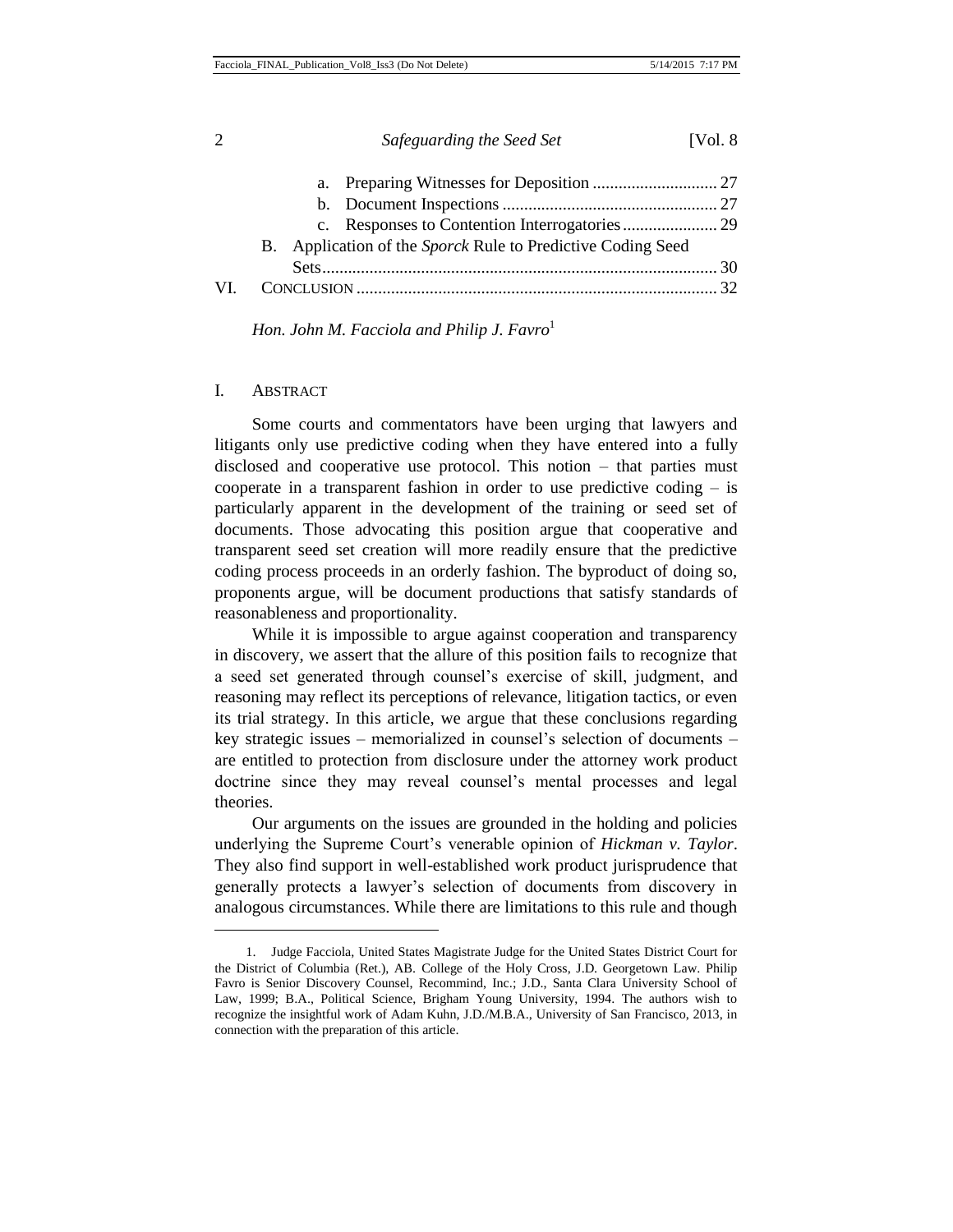|  | B. Application of the Sporck Rule to Predictive Coding Seed |  |
|--|-------------------------------------------------------------|--|
|  |                                                             |  |
|  |                                                             |  |

*Hon. John M. Facciola and Philip J. Favro*<sup>1</sup>

#### I. ABSTRACT

l

Some courts and commentators have been urging that lawyers and litigants only use predictive coding when they have entered into a fully disclosed and cooperative use protocol. This notion – that parties must cooperate in a transparent fashion in order to use predictive coding – is particularly apparent in the development of the training or seed set of documents. Those advocating this position argue that cooperative and transparent seed set creation will more readily ensure that the predictive coding process proceeds in an orderly fashion. The byproduct of doing so, proponents argue, will be document productions that satisfy standards of reasonableness and proportionality.

While it is impossible to argue against cooperation and transparency in discovery, we assert that the allure of this position fails to recognize that a seed set generated through counsel's exercise of skill, judgment, and reasoning may reflect its perceptions of relevance, litigation tactics, or even its trial strategy. In this article, we argue that these conclusions regarding key strategic issues – memorialized in counsel's selection of documents – are entitled to protection from disclosure under the attorney work product doctrine since they may reveal counsel's mental processes and legal theories.

Our arguments on the issues are grounded in the holding and policies underlying the Supreme Court's venerable opinion of *Hickman v. Taylor*. They also find support in well-established work product jurisprudence that generally protects a lawyer's selection of documents from discovery in analogous circumstances. While there are limitations to this rule and though

2 *Safeguarding the Seed Set* [Vol. 8

<sup>1.</sup> Judge Facciola, United States Magistrate Judge for the United States District Court for the District of Columbia (Ret.), AB. College of the Holy Cross, J.D. Georgetown Law. Philip Favro is Senior Discovery Counsel, Recommind, Inc.; J.D., Santa Clara University School of Law, 1999; B.A., Political Science, Brigham Young University, 1994. The authors wish to recognize the insightful work of Adam Kuhn, J.D./M.B.A., University of San Francisco, 2013, in connection with the preparation of this article.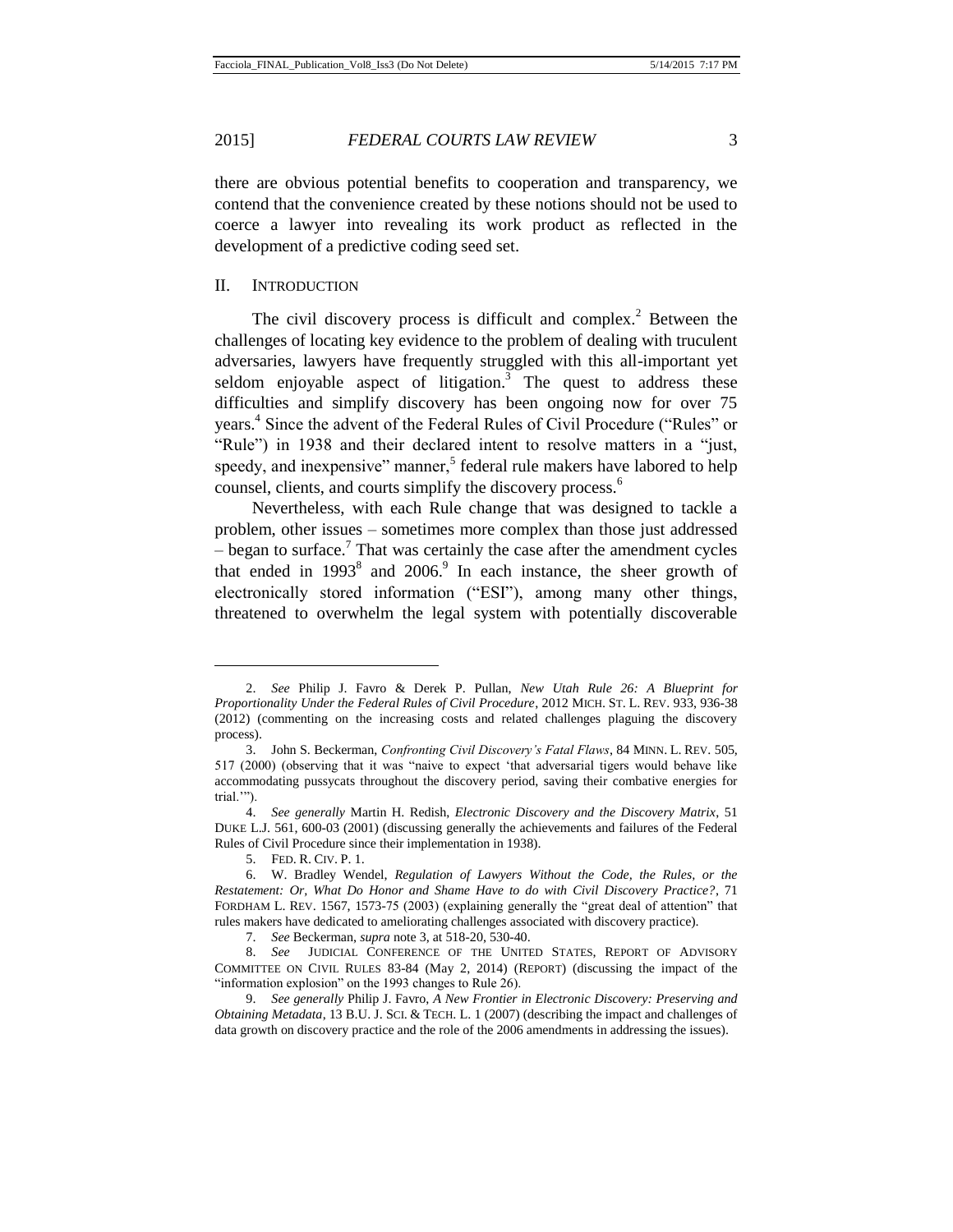there are obvious potential benefits to cooperation and transparency, we contend that the convenience created by these notions should not be used to coerce a lawyer into revealing its work product as reflected in the development of a predictive coding seed set.

#### II. INTRODUCTION

The civil discovery process is difficult and complex.<sup>2</sup> Between the challenges of locating key evidence to the problem of dealing with truculent adversaries, lawyers have frequently struggled with this all-important yet seldom enjoyable aspect of litigation.<sup>3</sup> The quest to address these difficulties and simplify discovery has been ongoing now for over 75 years.<sup>4</sup> Since the advent of the Federal Rules of Civil Procedure ("Rules" or "Rule") in 1938 and their declared intent to resolve matters in a "just, speedy, and inexpensive" manner,<sup>5</sup> federal rule makers have labored to help counsel, clients, and courts simplify the discovery process.<sup>6</sup>

Nevertheless, with each Rule change that was designed to tackle a problem, other issues – sometimes more complex than those just addressed  $-$  began to surface.<sup>7</sup> That was certainly the case after the amendment cycles that ended in  $1993^8$  and  $2006$ .<sup>9</sup> In each instance, the sheer growth of electronically stored information ("ESI"), among many other things, threatened to overwhelm the legal system with potentially discoverable

<sup>2.</sup> *See* Philip J. Favro & Derek P. Pullan, *New Utah Rule 26: A Blueprint for Proportionality Under the Federal Rules of Civil Procedure*, 2012 MICH. ST. L. REV. 933, 936-38 (2012) (commenting on the increasing costs and related challenges plaguing the discovery process).

<sup>3.</sup> John S. Beckerman, *Confronting Civil Discovery's Fatal Flaws*, 84 MINN. L. REV. 505, 517 (2000) (observing that it was "naive to expect 'that adversarial tigers would behave like accommodating pussycats throughout the discovery period, saving their combative energies for trial."").

<sup>4.</sup> *See generally* Martin H. Redish, *Electronic Discovery and the Discovery Matrix*, 51 DUKE L.J. 561, 600-03 (2001) (discussing generally the achievements and failures of the Federal Rules of Civil Procedure since their implementation in 1938).

<sup>5.</sup> FED. R. CIV. P. 1.

<sup>6.</sup> W. Bradley Wendel, *Regulation of Lawyers Without the Code, the Rules, or the Restatement: Or, What Do Honor and Shame Have to do with Civil Discovery Practice?*, 71 FORDHAM L. REV. 1567, 1573-75 (2003) (explaining generally the "great deal of attention" that rules makers have dedicated to ameliorating challenges associated with discovery practice).

<sup>7.</sup> *See* Beckerman, *supra* note 3, at 518-20, 530-40.

<sup>8.</sup> *See* JUDICIAL CONFERENCE OF THE UNITED STATES, REPORT OF ADVISORY COMMITTEE ON CIVIL RULES 83-84 (May 2, 2014) (REPORT) (discussing the impact of the "information explosion" on the 1993 changes to Rule 26).

<sup>9.</sup> *See generally* Philip J. Favro, *A New Frontier in Electronic Discovery: Preserving and Obtaining Metadata*, 13 B.U. J. SCI. & TECH. L. 1 (2007) (describing the impact and challenges of data growth on discovery practice and the role of the 2006 amendments in addressing the issues).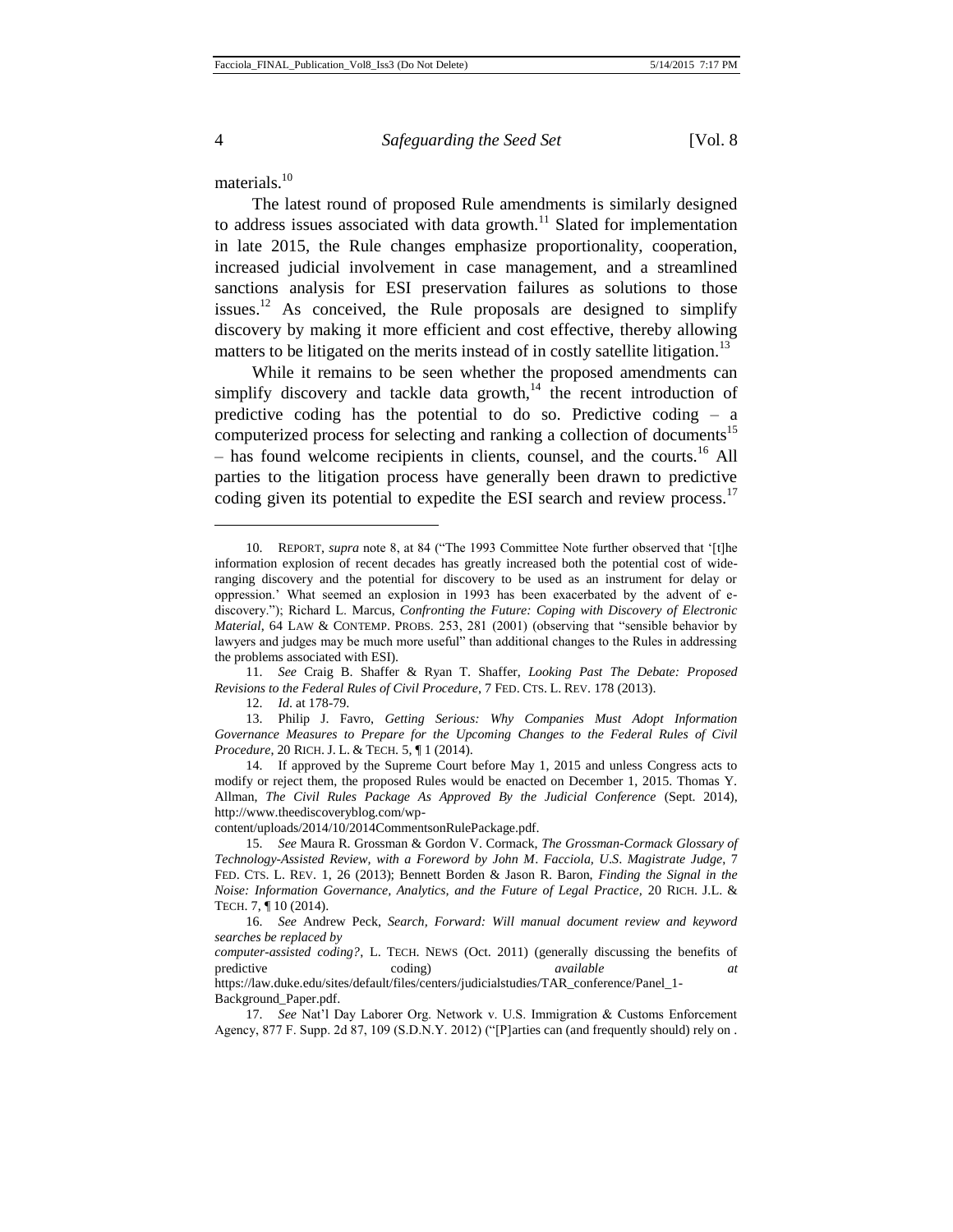materials.<sup>10</sup>

The latest round of proposed Rule amendments is similarly designed to address issues associated with data growth. $11$  Slated for implementation in late 2015, the Rule changes emphasize proportionality, cooperation, increased judicial involvement in case management, and a streamlined sanctions analysis for ESI preservation failures as solutions to those issues.<sup>12</sup> As conceived, the Rule proposals are designed to simplify discovery by making it more efficient and cost effective, thereby allowing matters to be litigated on the merits instead of in costly satellite litigation.<sup>13</sup>

While it remains to be seen whether the proposed amendments can simplify discovery and tackle data growth, $14$  the recent introduction of predictive coding has the potential to do so. Predictive coding – a computerized process for selecting and ranking a collection of documents<sup>15</sup>  $-$  has found welcome recipients in clients, counsel, and the courts.<sup>16</sup> All parties to the litigation process have generally been drawn to predictive coding given its potential to expedite the ESI search and review process.<sup>17</sup>

11. *See* Craig B. Shaffer & Ryan T. Shaffer, *Looking Past The Debate: Proposed Revisions to the Federal Rules of Civil Procedure*, 7 FED. CTS. L. REV. 178 (2013).

12. *Id*. at 178-79.

13. Philip J. Favro, *Getting Serious: Why Companies Must Adopt Information*  Governance Measures to Prepare for the Upcoming Changes to the Federal Rules of Civil *Procedure*, 20 RICH. J. L. & TECH. 5, ¶ 1 (2014).

14. If approved by the Supreme Court before May 1, 2015 and unless Congress acts to modify or reject them, the proposed Rules would be enacted on December 1, 2015. Thomas Y. Allman, *The Civil Rules Package As Approved By the Judicial Conference* (Sept. 2014), http://www.theediscoveryblog.com/wp-

content/uploads/2014/10/2014CommentsonRulePackage.pdf.

<sup>10.</sup> REPORT, *supra* note 8, at 84 ("The 1993 Committee Note further observed that '[t]he information explosion of recent decades has greatly increased both the potential cost of wideranging discovery and the potential for discovery to be used as an instrument for delay or oppression.' What seemed an explosion in 1993 has been exacerbated by the advent of ediscovery."); Richard L. Marcus, *Confronting the Future: Coping with Discovery of Electronic Material*, 64 LAW & CONTEMP. PROBS. 253, 281 (2001) (observing that "sensible behavior by lawyers and judges may be much more useful" than additional changes to the Rules in addressing the problems associated with ESI).

<sup>15.</sup> *See* Maura R. Grossman & Gordon V. Cormack, *The Grossman-Cormack Glossary of Technology-Assisted Review, with a Foreword by John M*. *Facciola, U*.*S*. *Magistrate Judge*, 7 FED. CTS. L. REV. 1, 26 (2013); Bennett Borden & Jason R. Baron, *Finding the Signal in the Noise: Information Governance, Analytics, and the Future of Legal Practice,* 20 RICH. J.L. & TECH. 7, ¶ 10 (2014).

<sup>16.</sup> *See* Andrew Peck, *Search, Forward: Will manual document review and keyword searches be replaced by*

*computer-assisted coding?*, L. TECH. NEWS (Oct. 2011) (generally discussing the benefits of predictive coding) *available at*

https://law.duke.edu/sites/default/files/centers/judicialstudies/TAR\_conference/Panel\_1- Background\_Paper.pdf.

<sup>17.</sup> *See* Nat'l Day Laborer Org. Network v. U.S. Immigration & Customs Enforcement Agency, 877 F. Supp. 2d 87, 109 (S.D.N.Y. 2012) ("[P]arties can (and frequently should) rely on .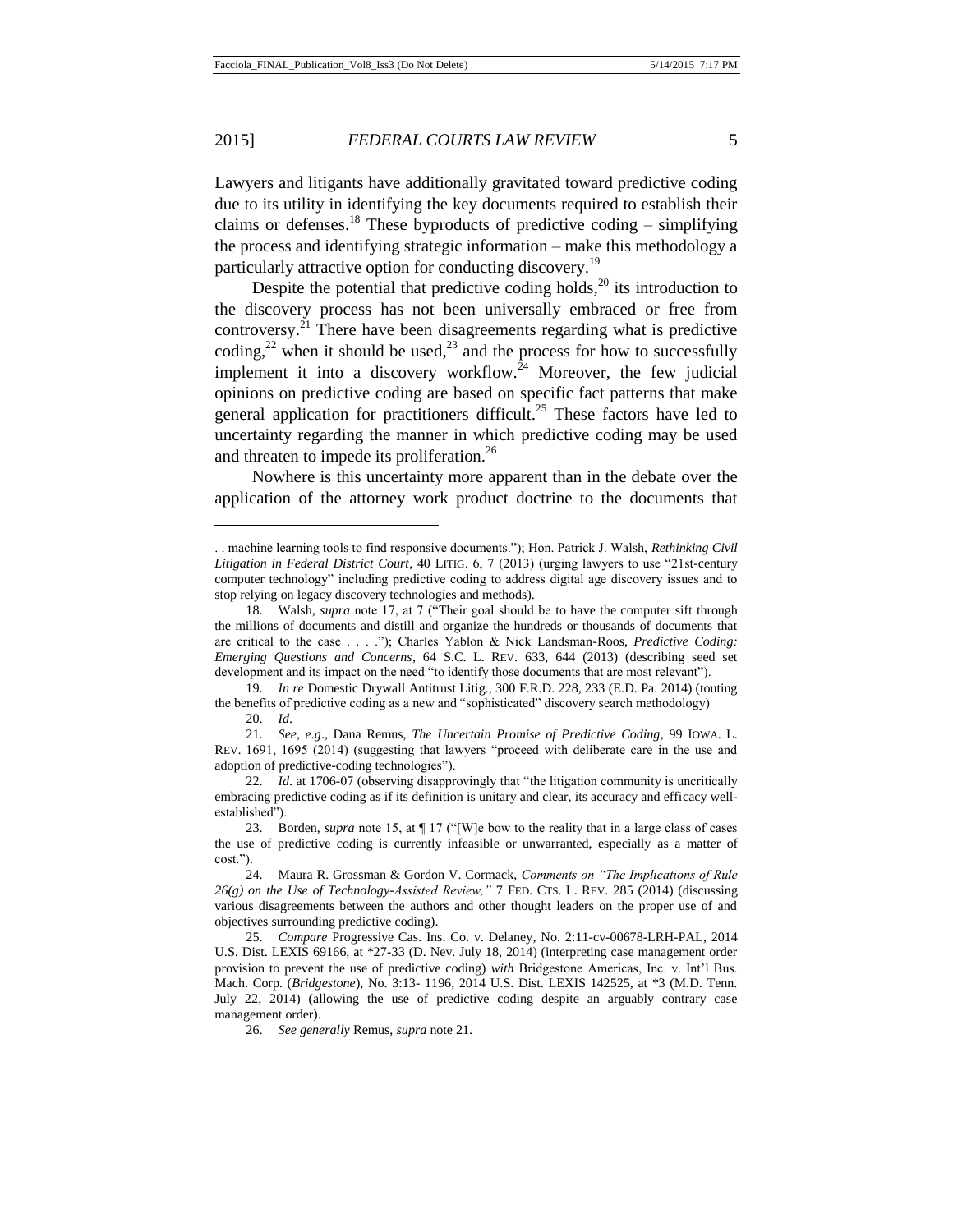Lawyers and litigants have additionally gravitated toward predictive coding due to its utility in identifying the key documents required to establish their claims or defenses.<sup>18</sup> These byproducts of predictive coding – simplifying the process and identifying strategic information – make this methodology a particularly attractive option for conducting discovery.<sup>19</sup>

Despite the potential that predictive coding holds, $20$  its introduction to the discovery process has not been universally embraced or free from controversy.<sup>21</sup> There have been disagreements regarding what is predictive coding,<sup>22</sup> when it should be used,<sup>23</sup> and the process for how to successfully implement it into a discovery workflow.<sup>24</sup> Moreover, the few judicial opinions on predictive coding are based on specific fact patterns that make general application for practitioners difficult.<sup>25</sup> These factors have led to uncertainty regarding the manner in which predictive coding may be used and threaten to impede its proliferation.<sup>26</sup>

Nowhere is this uncertainty more apparent than in the debate over the application of the attorney work product doctrine to the documents that

<sup>. .</sup> machine learning tools to find responsive documents."); Hon. Patrick J. Walsh, *Rethinking Civil Litigation in Federal District Court*, 40 LITIG. 6, 7 (2013) (urging lawyers to use "21st-century computer technology" including predictive coding to address digital age discovery issues and to stop relying on legacy discovery technologies and methods).

<sup>18.</sup> Walsh, *supra* note 17, at 7 ("Their goal should be to have the computer sift through the millions of documents and distill and organize the hundreds or thousands of documents that are critical to the case . . . ."); Charles Yablon & Nick Landsman-Roos, *Predictive Coding: Emerging Questions and Concerns*, 64 S.C. L. REV. 633, 644 (2013) (describing seed set development and its impact on the need "to identify those documents that are most relevant").

<sup>19.</sup> *In re* Domestic Drywall Antitrust Litig., 300 F.R.D. 228, 233 (E.D. Pa. 2014) (touting the benefits of predictive coding as a new and "sophisticated" discovery search methodology)

<sup>20.</sup> *Id*.

<sup>21.</sup> *See, e*.*g*., Dana Remus, *The Uncertain Promise of Predictive Coding*, 99 IOWA. L. REV. 1691, 1695 (2014) (suggesting that lawyers "proceed with deliberate care in the use and adoption of predictive-coding technologies").

<sup>22.</sup> *Id*. at 1706-07 (observing disapprovingly that "the litigation community is uncritically embracing predictive coding as if its definition is unitary and clear, its accuracy and efficacy wellestablished").

<sup>23.</sup> Borden, *supra* note 15, at ¶ 17 ("[W]e bow to the reality that in a large class of cases the use of predictive coding is currently infeasible or unwarranted, especially as a matter of cost.").

<sup>24.</sup> Maura R. Grossman & Gordon V. Cormack, *Comments on "The Implications of Rule 26(g) on the Use of Technology-Assisted Review,"* 7 FED. CTS. L. REV. 285 (2014) (discussing various disagreements between the authors and other thought leaders on the proper use of and objectives surrounding predictive coding).

<sup>25.</sup> *Compare* Progressive Cas. Ins. Co. v. Delaney*,* No. 2:11-cv-00678-LRH-PAL, 2014 U.S. Dist. LEXIS 69166, at \*27-33 (D. Nev. July 18, 2014) (interpreting case management order provision to prevent the use of predictive coding) *with* Bridgestone Americas, Inc. v. Int'l Bus. Mach. Corp. (*Bridgestone*), No. 3:13- 1196, 2014 U.S. Dist. LEXIS 142525, at \*3 (M.D. Tenn. July 22, 2014) (allowing the use of predictive coding despite an arguably contrary case management order).

<sup>26.</sup> *See generally* Remus, *supra* note 21.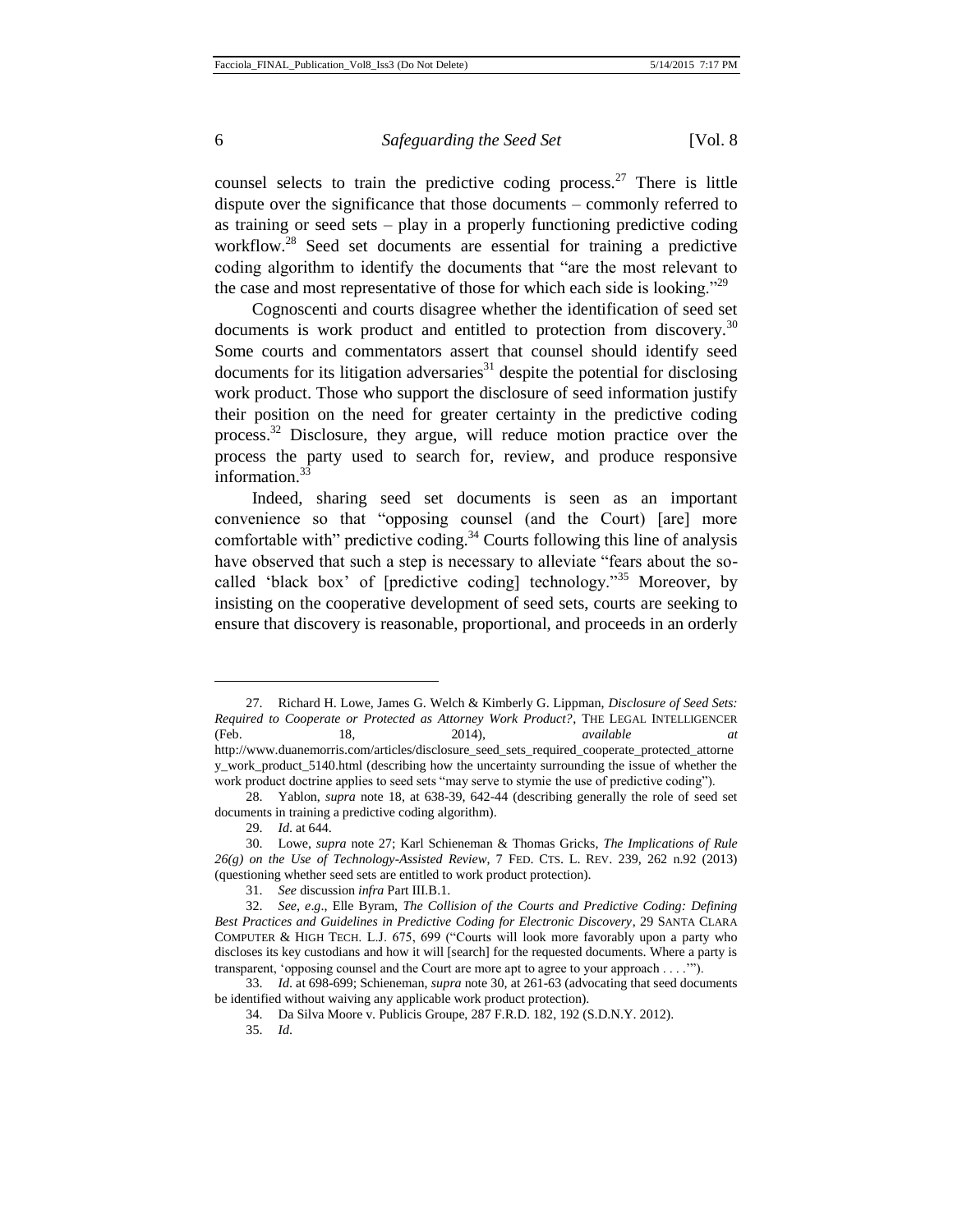counsel selects to train the predictive coding process.<sup>27</sup> There is little dispute over the significance that those documents – commonly referred to as training or seed sets – play in a properly functioning predictive coding workflow.<sup>28</sup> Seed set documents are essential for training a predictive coding algorithm to identify the documents that "are the most relevant to the case and most representative of those for which each side is looking.<sup>229</sup>

Cognoscenti and courts disagree whether the identification of seed set documents is work product and entitled to protection from discovery.<sup>30</sup> Some courts and commentators assert that counsel should identify seed documents for its litigation adversaries<sup>31</sup> despite the potential for disclosing work product. Those who support the disclosure of seed information justify their position on the need for greater certainty in the predictive coding process.<sup>32</sup> Disclosure, they argue, will reduce motion practice over the process the party used to search for, review, and produce responsive information.<sup>33</sup>

Indeed, sharing seed set documents is seen as an important convenience so that "opposing counsel (and the Court) [are] more comfortable with" predictive coding. $34$  Courts following this line of analysis have observed that such a step is necessary to alleviate "fears about the socalled 'black box' of [predictive coding] technology."<sup>35</sup> Moreover, by insisting on the cooperative development of seed sets, courts are seeking to ensure that discovery is reasonable, proportional, and proceeds in an orderly

<sup>27.</sup> Richard H. Lowe, James G. Welch & Kimberly G. Lippman, *Disclosure of Seed Sets: Required to Cooperate or Protected as Attorney Work Product?*, THE LEGAL INTELLIGENCER (Feb. 18, 2014), *available at* http://www.duanemorris.com/articles/disclosure\_seed\_sets\_required\_cooperate\_protected\_attorne y\_work\_product\_5140.html (describing how the uncertainty surrounding the issue of whether the work product doctrine applies to seed sets "may serve to stymie the use of predictive coding").

<sup>28.</sup> Yablon, *supra* note 18, at 638-39, 642-44 (describing generally the role of seed set documents in training a predictive coding algorithm).

<sup>29.</sup> *Id*. at 644.

<sup>30.</sup> Lowe, *supra* note 27; Karl Schieneman & Thomas Gricks, *The Implications of Rule 26(g) on the Use of Technology-Assisted Review*, 7 FED. CTS. L. REV. 239, 262 n.92 (2013) (questioning whether seed sets are entitled to work product protection).

<sup>31.</sup> *See* discussion *infra* Part III.B.1.

<sup>32.</sup> *See*, *e*.*g*., Elle Byram, *The Collision of the Courts and Predictive Coding: Defining Best Practices and Guidelines in Predictive Coding for Electronic Discovery*, 29 SANTA CLARA COMPUTER & HIGH TECH. L.J. 675, 699 ("Courts will look more favorably upon a party who discloses its key custodians and how it will [search] for the requested documents. Where a party is transparent, 'opposing counsel and the Court are more apt to agree to your approach . . . .'").

<sup>33.</sup> *Id*. at 698-699; Schieneman, *supra* note 30, at 261-63 (advocating that seed documents be identified without waiving any applicable work product protection).

<sup>34.</sup> Da Silva Moore v. Publicis Groupe, 287 F.R.D. 182, 192 (S.D.N.Y. 2012).

<sup>35.</sup> *Id*.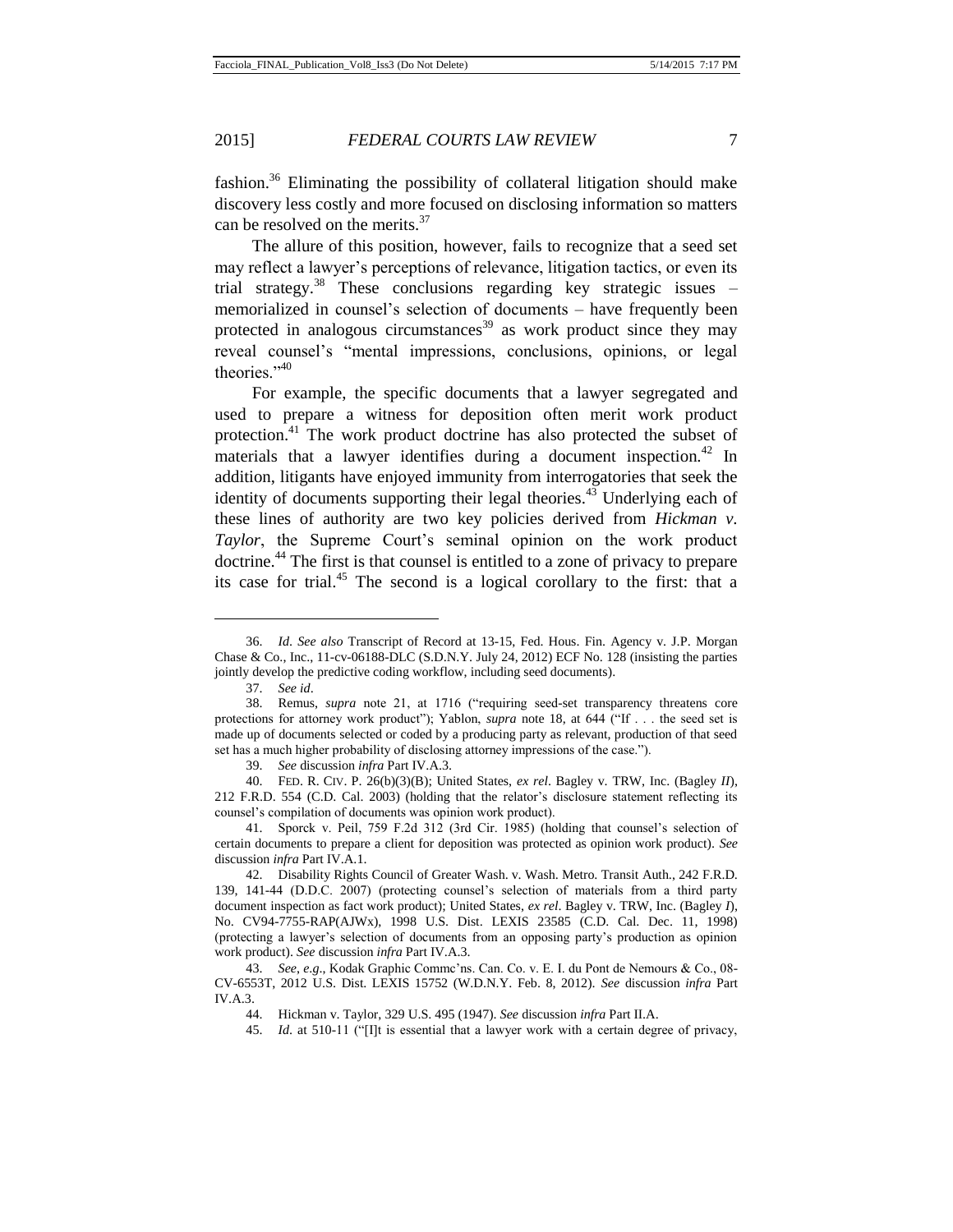fashion.<sup>36</sup> Eliminating the possibility of collateral litigation should make discovery less costly and more focused on disclosing information so matters can be resolved on the merits.<sup>37</sup>

The allure of this position, however, fails to recognize that a seed set may reflect a lawyer's perceptions of relevance, litigation tactics, or even its trial strategy.<sup>38</sup> These conclusions regarding key strategic issues  $$ memorialized in counsel's selection of documents – have frequently been protected in analogous circumstances<sup>39</sup> as work product since they may reveal counsel's "mental impressions, conclusions, opinions, or legal theories."<sup>40</sup>

For example, the specific documents that a lawyer segregated and used to prepare a witness for deposition often merit work product protection.<sup>41</sup> The work product doctrine has also protected the subset of materials that a lawyer identifies during a document inspection.<sup>42</sup> In addition, litigants have enjoyed immunity from interrogatories that seek the identity of documents supporting their legal theories.<sup>43</sup> Underlying each of these lines of authority are two key policies derived from *Hickman v. Taylor*, the Supreme Court's seminal opinion on the work product doctrine.<sup>44</sup> The first is that counsel is entitled to a zone of privacy to prepare its case for trial.<sup>45</sup> The second is a logical corollary to the first: that a

<sup>36.</sup> *Id*. *See also* Transcript of Record at 13-15, Fed. Hous. Fin. Agency v. J.P. Morgan Chase & Co., Inc., 11-cv-06188-DLC (S.D.N.Y. July 24, 2012) ECF No. 128 (insisting the parties jointly develop the predictive coding workflow, including seed documents).

<sup>37.</sup> *See id*.

<sup>38.</sup> Remus, *supra* note 21, at 1716 ("requiring seed-set transparency threatens core protections for attorney work product"); Yablon, *supra* note 18, at 644 ("If . . . the seed set is made up of documents selected or coded by a producing party as relevant, production of that seed set has a much higher probability of disclosing attorney impressions of the case.").

<sup>39.</sup> *See* discussion *infra* Part IV.A.3.

<sup>40.</sup> FED. R. CIV. P. 26(b)(3)(B); United States, *ex rel*. Bagley v. TRW, Inc. (Bagley *II*), 212 F.R.D. 554 (C.D. Cal. 2003) (holding that the relator's disclosure statement reflecting its counsel's compilation of documents was opinion work product).

<sup>41.</sup> Sporck v. Peil, 759 F.2d 312 (3rd Cir. 1985) (holding that counsel's selection of certain documents to prepare a client for deposition was protected as opinion work product). *See* discussion *infra* Part IV.A.1.

<sup>42.</sup> Disability Rights Council of Greater Wash. v. Wash. Metro. Transit Auth., 242 F.R.D. 139, 141-44 (D.D.C. 2007) (protecting counsel's selection of materials from a third party document inspection as fact work product); United States, *ex rel*. Bagley v. TRW, Inc. (Bagley *I*), No. CV94-7755-RAP(AJWx), 1998 U.S. Dist. LEXIS 23585 (C.D. Cal. Dec. 11, 1998) (protecting a lawyer's selection of documents from an opposing party's production as opinion work product). *See* discussion *infra* Part IV.A.3.

<sup>43.</sup> *See*, *e*.*g*., Kodak Graphic Commc'ns. Can. Co. v. E. I. du Pont de Nemours & Co., 08- CV-6553T, 2012 U.S. Dist. LEXIS 15752 (W.D.N.Y. Feb. 8, 2012). *See* discussion *infra* Part IV.A.3.

<sup>44.</sup> Hickman v. Taylor, 329 U.S. 495 (1947). *See* discussion *infra* Part II.A.

<sup>45.</sup> *Id*. at 510-11 ("[I]t is essential that a lawyer work with a certain degree of privacy,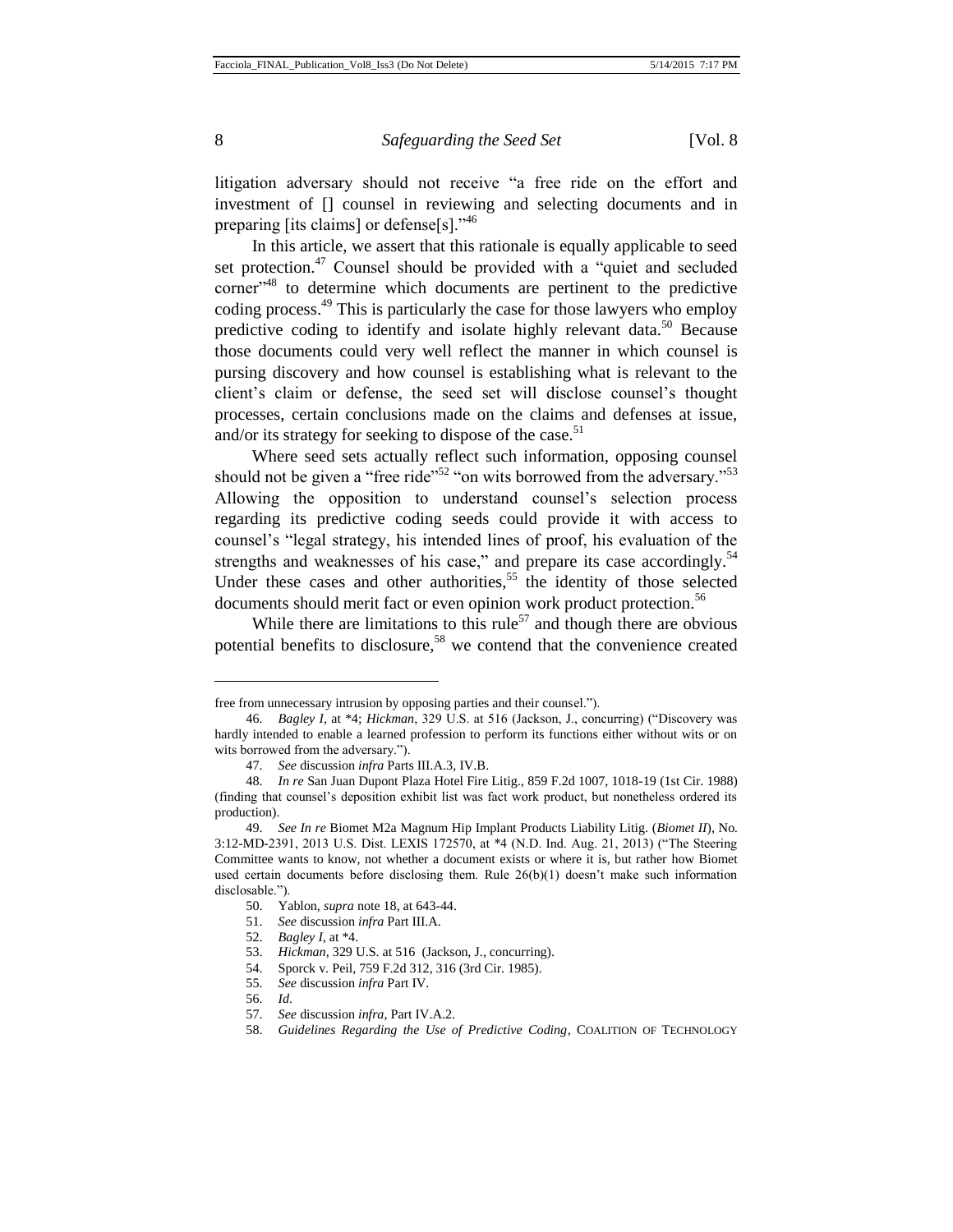litigation adversary should not receive "a free ride on the effort and investment of [] counsel in reviewing and selecting documents and in preparing [its claims] or defense[s]."<sup>46</sup>

In this article, we assert that this rationale is equally applicable to seed set protection.<sup>47</sup> Counsel should be provided with a "quiet and secluded" corner"<sup>48</sup> to determine which documents are pertinent to the predictive coding process.<sup>49</sup> This is particularly the case for those lawyers who employ predictive coding to identify and isolate highly relevant data.<sup>50</sup> Because those documents could very well reflect the manner in which counsel is pursing discovery and how counsel is establishing what is relevant to the client's claim or defense, the seed set will disclose counsel's thought processes, certain conclusions made on the claims and defenses at issue, and/or its strategy for seeking to dispose of the case.<sup>51</sup>

Where seed sets actually reflect such information, opposing counsel should not be given a "free ride"<sup>52</sup> "on wits borrowed from the adversary."<sup>53</sup> Allowing the opposition to understand counsel's selection process regarding its predictive coding seeds could provide it with access to counsel's "legal strategy, his intended lines of proof, his evaluation of the strengths and weaknesses of his case," and prepare its case accordingly.<sup>54</sup> Under these cases and other authorities,<sup>55</sup> the identity of those selected documents should merit fact or even opinion work product protection.<sup>56</sup>

While there are limitations to this rule<sup>57</sup> and though there are obvious potential benefits to disclosure,<sup>58</sup> we contend that the convenience created

free from unnecessary intrusion by opposing parties and their counsel.").

<sup>46.</sup> *Bagley I*, at \*4; *Hickman*, 329 U.S. at 516 (Jackson, J., concurring) ("Discovery was hardly intended to enable a learned profession to perform its functions either without wits or on wits borrowed from the adversary.").

<sup>47.</sup> *See* discussion *infra* Parts III.A.3, IV.B.

<sup>48.</sup> *In re* San Juan Dupont Plaza Hotel Fire Litig., 859 F.2d 1007, 1018-19 (1st Cir. 1988) (finding that counsel's deposition exhibit list was fact work product, but nonetheless ordered its production).

<sup>49.</sup> *See In re* Biomet M2a Magnum Hip Implant Products Liability Litig. (*Biomet II*)*,* No. 3:12-MD-2391, 2013 U.S. Dist. LEXIS 172570, at \*4 (N.D. Ind. Aug. 21, 2013) ("The Steering Committee wants to know, not whether a document exists or where it is, but rather how Biomet used certain documents before disclosing them. Rule  $26(b)(1)$  doesn't make such information disclosable.").

<sup>50.</sup> Yablon, *supra* note 18, at 643-44.

<sup>51.</sup> *See* discussion *infra* Part III.A.

<sup>52.</sup> *Bagley I*, at \*4.

<sup>53.</sup> *Hickman*, 329 U.S. at 516 (Jackson, J., concurring).

<sup>54.</sup> Sporck v. Peil, 759 F.2d 312, 316 (3rd Cir. 1985).

<sup>55.</sup> *See* discussion *infra* Part IV.

<sup>56.</sup> *Id*.

<sup>57.</sup> *See* discussion *infra*, Part IV.A.2.

<sup>58.</sup> *Guidelines Regarding the Use of Predictive Coding*, COALITION OF TECHNOLOGY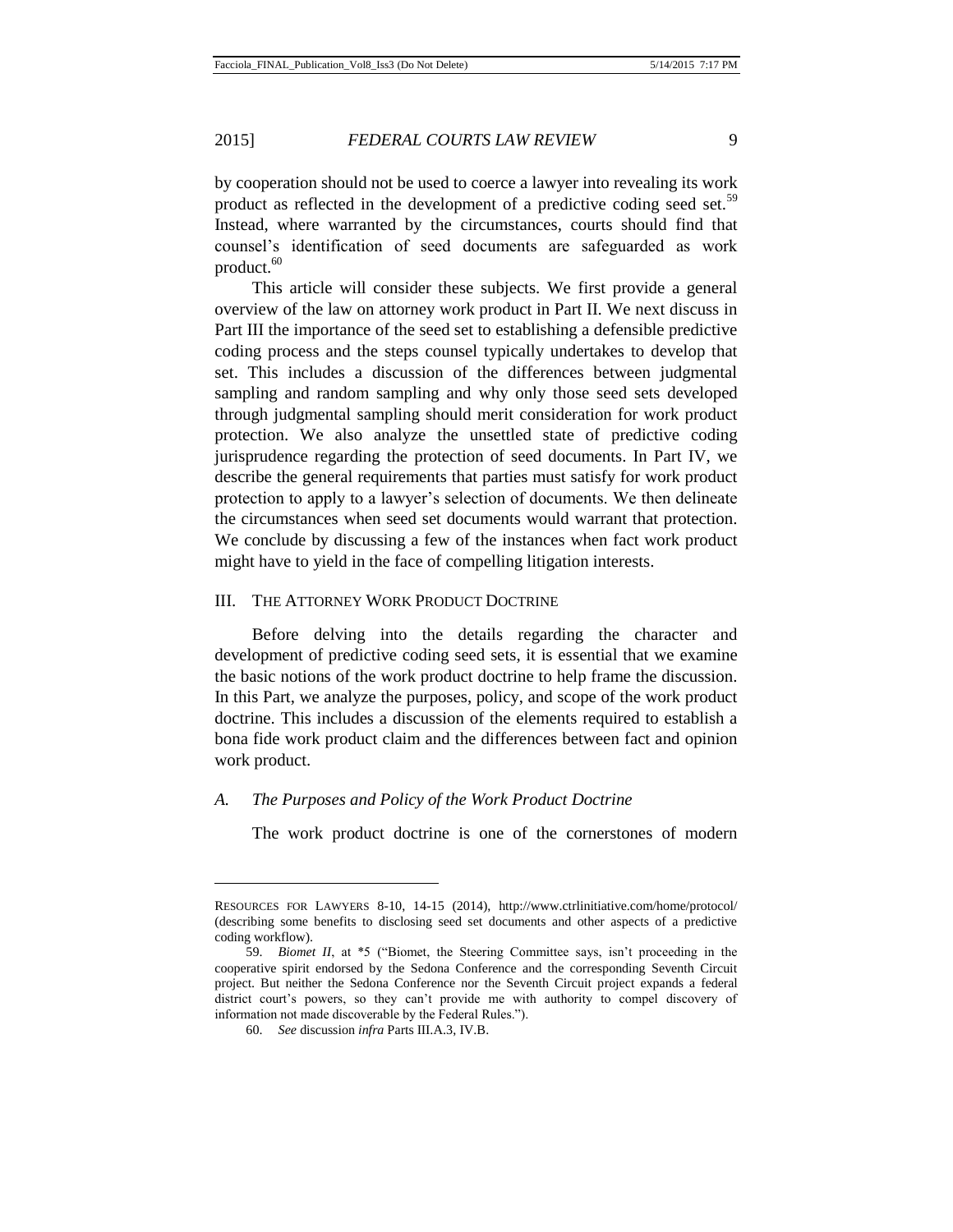by cooperation should not be used to coerce a lawyer into revealing its work product as reflected in the development of a predictive coding seed set.<sup>59</sup> Instead, where warranted by the circumstances, courts should find that counsel's identification of seed documents are safeguarded as work product. $60$ 

This article will consider these subjects. We first provide a general overview of the law on attorney work product in Part II. We next discuss in Part III the importance of the seed set to establishing a defensible predictive coding process and the steps counsel typically undertakes to develop that set. This includes a discussion of the differences between judgmental sampling and random sampling and why only those seed sets developed through judgmental sampling should merit consideration for work product protection. We also analyze the unsettled state of predictive coding jurisprudence regarding the protection of seed documents. In Part IV, we describe the general requirements that parties must satisfy for work product protection to apply to a lawyer's selection of documents. We then delineate the circumstances when seed set documents would warrant that protection. We conclude by discussing a few of the instances when fact work product might have to yield in the face of compelling litigation interests.

#### III. THE ATTORNEY WORK PRODUCT DOCTRINE

Before delving into the details regarding the character and development of predictive coding seed sets, it is essential that we examine the basic notions of the work product doctrine to help frame the discussion. In this Part, we analyze the purposes, policy, and scope of the work product doctrine. This includes a discussion of the elements required to establish a bona fide work product claim and the differences between fact and opinion work product.

#### *A. The Purposes and Policy of the Work Product Doctrine*

The work product doctrine is one of the cornerstones of modern

RESOURCES FOR LAWYERS 8-10, 14-15 (2014), http://www.ctrlinitiative.com/home/protocol/ (describing some benefits to disclosing seed set documents and other aspects of a predictive coding workflow).

<sup>59.</sup> *Biomet II*, at \*5 ("Biomet, the Steering Committee says, isn't proceeding in the cooperative spirit endorsed by the Sedona Conference and the corresponding Seventh Circuit project. But neither the Sedona Conference nor the Seventh Circuit project expands a federal district court's powers, so they can't provide me with authority to compel discovery of information not made discoverable by the Federal Rules.").

<sup>60.</sup> *See* discussion *infra* Parts III.A.3, IV.B.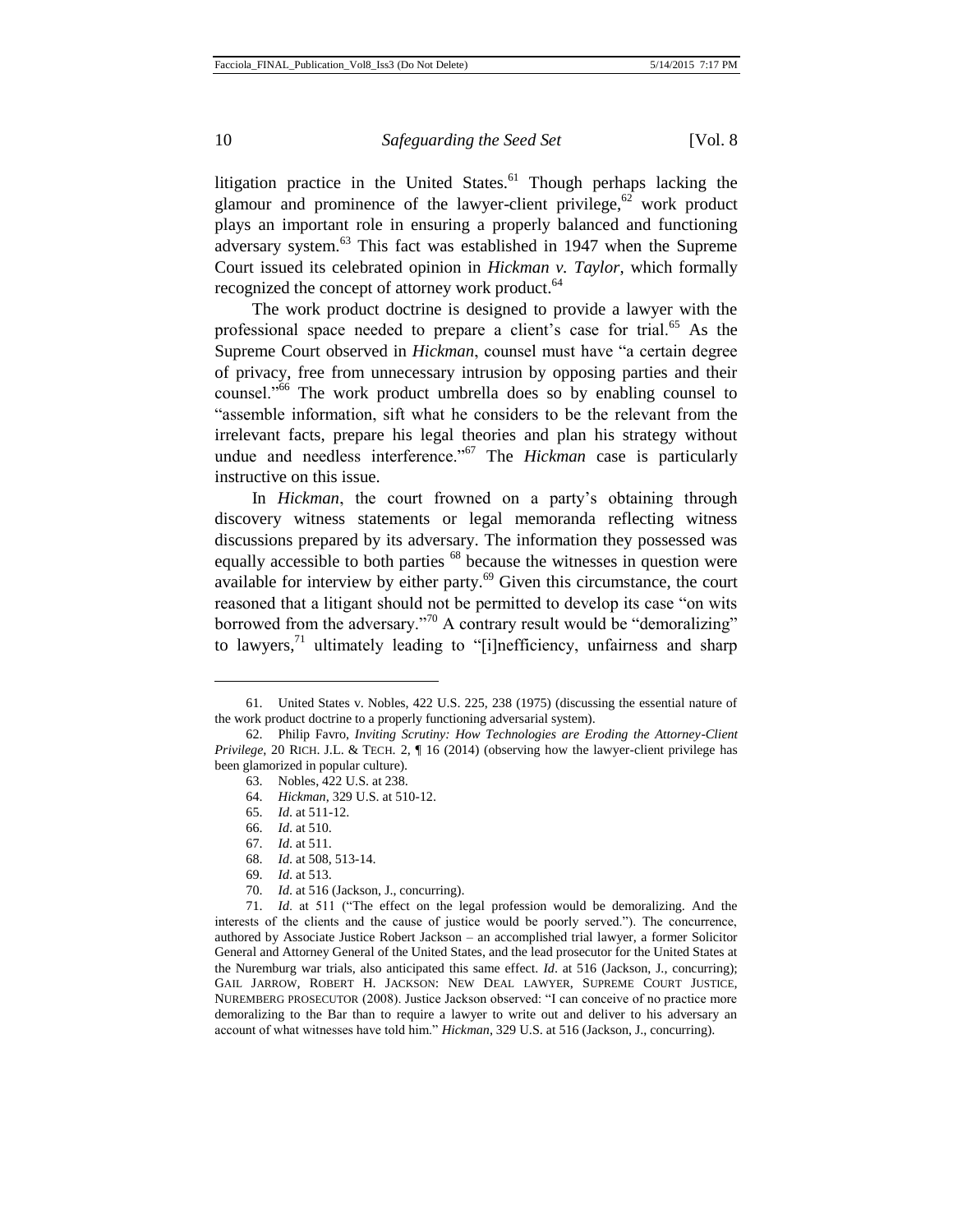litigation practice in the United States. $61$  Though perhaps lacking the glamour and prominence of the lawyer-client privilege,  $62$  work product plays an important role in ensuring a properly balanced and functioning adversary system.<sup>63</sup> This fact was established in 1947 when the Supreme Court issued its celebrated opinion in *Hickman v. Taylor*, which formally recognized the concept of attorney work product.<sup>64</sup>

The work product doctrine is designed to provide a lawyer with the professional space needed to prepare a client's case for trial.<sup>65</sup> As the Supreme Court observed in *Hickman*, counsel must have "a certain degree of privacy, free from unnecessary intrusion by opposing parties and their counsel."<sup>66</sup> The work product umbrella does so by enabling counsel to "assemble information, sift what he considers to be the relevant from the irrelevant facts, prepare his legal theories and plan his strategy without undue and needless interference.<sup>567</sup> The *Hickman* case is particularly instructive on this issue.

In *Hickman*, the court frowned on a party's obtaining through discovery witness statements or legal memoranda reflecting witness discussions prepared by its adversary. The information they possessed was equally accessible to both parties <sup>68</sup> because the witnesses in question were available for interview by either party. $69$  Given this circumstance, the court reasoned that a litigant should not be permitted to develop its case "on wits borrowed from the adversary."<sup>70</sup> A contrary result would be "demoralizing" to lawyers, $\frac{1}{1}$  ultimately leading to "[i]nefficiency, unfairness and sharp

 $\overline{a}$ 

70. *Id*. at 516 (Jackson, J., concurring).

<sup>61.</sup> United States v. Nobles, 422 U.S. 225, 238 (1975) (discussing the essential nature of the work product doctrine to a properly functioning adversarial system).

<sup>62.</sup> Philip Favro, *Inviting Scrutiny: How Technologies are Eroding the Attorney-Client Privilege*, 20 RICH. J.L. & TECH. 2,  $\P$  16 (2014) (observing how the lawyer-client privilege has been glamorized in popular culture).

<sup>63.</sup> Nobles, 422 U.S. at 238.

<sup>64.</sup> *Hickman*, 329 U.S. at 510-12.

<sup>65.</sup> *Id*. at 511-12.

<sup>66.</sup> *Id*. at 510.

<sup>67.</sup> *Id*. at 511.

<sup>68.</sup> *Id*. at 508, 513-14.

<sup>69.</sup> *Id*. at 513.

<sup>71.</sup> *Id*. at 511 ("The effect on the legal profession would be demoralizing. And the interests of the clients and the cause of justice would be poorly served."). The concurrence, authored by Associate Justice Robert Jackson – an accomplished trial lawyer, a former Solicitor General and Attorney General of the United States, and the lead prosecutor for the United States at the Nuremburg war trials, also anticipated this same effect. *Id*. at 516 (Jackson, J., concurring); GAIL JARROW, ROBERT H. JACKSON: NEW DEAL LAWYER, SUPREME COURT JUSTICE, NUREMBERG PROSECUTOR (2008). Justice Jackson observed: "I can conceive of no practice more demoralizing to the Bar than to require a lawyer to write out and deliver to his adversary an account of what witnesses have told him." *Hickman*, 329 U.S. at 516 (Jackson, J., concurring).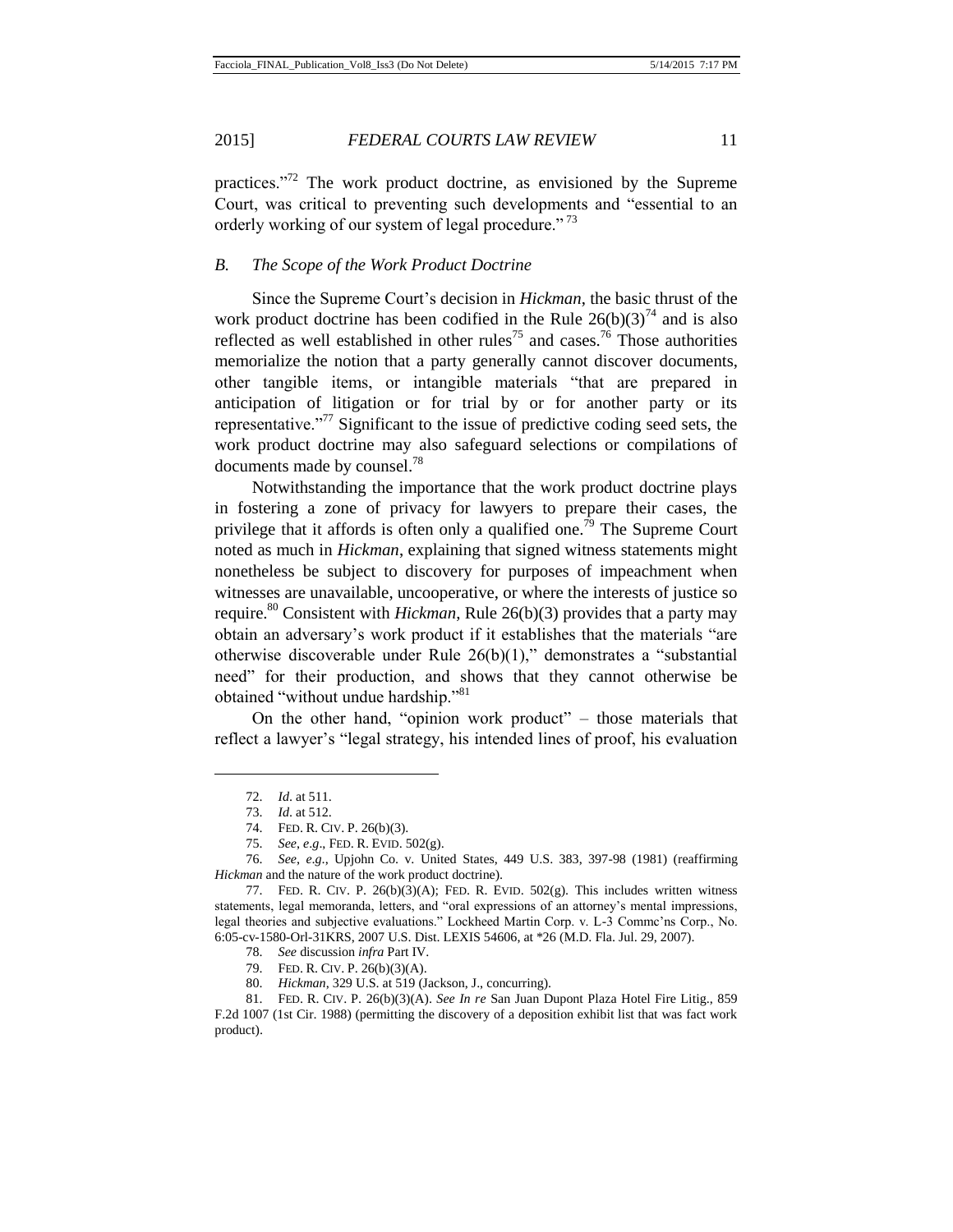practices. $12^7$  The work product doctrine, as envisioned by the Supreme Court, was critical to preventing such developments and "essential to an orderly working of our system of legal procedure."<sup>73</sup>

## *B. The Scope of the Work Product Doctrine*

Since the Supreme Court's decision in *Hickman*, the basic thrust of the work product doctrine has been codified in the Rule  $26(b)(3)^{74}$  and is also reflected as well established in other rules<sup>75</sup> and cases.<sup>76</sup> Those authorities memorialize the notion that a party generally cannot discover documents, other tangible items, or intangible materials "that are prepared in anticipation of litigation or for trial by or for another party or its representative."<sup>77</sup> Significant to the issue of predictive coding seed sets, the work product doctrine may also safeguard selections or compilations of documents made by counsel.<sup>78</sup>

Notwithstanding the importance that the work product doctrine plays in fostering a zone of privacy for lawyers to prepare their cases, the privilege that it affords is often only a qualified one.<sup>79</sup> The Supreme Court noted as much in *Hickman*, explaining that signed witness statements might nonetheless be subject to discovery for purposes of impeachment when witnesses are unavailable, uncooperative, or where the interests of justice so require.<sup>80</sup> Consistent with *Hickman*, Rule 26(b)(3) provides that a party may obtain an adversary's work product if it establishes that the materials "are otherwise discoverable under Rule 26(b)(1)," demonstrates a "substantial need" for their production, and shows that they cannot otherwise be obtained "without undue hardship."<sup>81</sup>

On the other hand, "opinion work product" – those materials that reflect a lawyer's "legal strategy, his intended lines of proof, his evaluation

<sup>72.</sup> *Id*. at 511.

<sup>73.</sup> *Id*. at 512.

<sup>74.</sup> FED. R. CIV. P. 26(b)(3).

<sup>75.</sup> *See*, *e*.*g*., FED. R. EVID. 502(g).

<sup>76.</sup> *See*, *e*.*g*., Upjohn Co. v. United States, 449 U.S. 383, 397-98 (1981) (reaffirming *Hickman* and the nature of the work product doctrine).

<sup>77.</sup> FED. R. CIV. P. 26(b)(3)(A); FED. R. EVID. 502(g). This includes written witness statements, legal memoranda, letters, and "oral expressions of an attorney's mental impressions, legal theories and subjective evaluations." Lockheed Martin Corp. v. L-3 Commc'ns Corp., No. 6:05-cv-1580-Orl-31KRS, 2007 U.S. Dist. LEXIS 54606, at \*26 (M.D. Fla. Jul. 29, 2007).

<sup>78.</sup> *See* discussion *infra* Part IV.

<sup>79.</sup> FED. R. CIV. P. 26(b)(3)(A).

<sup>80.</sup> *Hickman*, 329 U.S. at 519 (Jackson, J., concurring).

<sup>81.</sup> FED. R. CIV. P. 26(b)(3)(A). *See In re* San Juan Dupont Plaza Hotel Fire Litig., 859 F.2d 1007 (1st Cir. 1988) (permitting the discovery of a deposition exhibit list that was fact work product).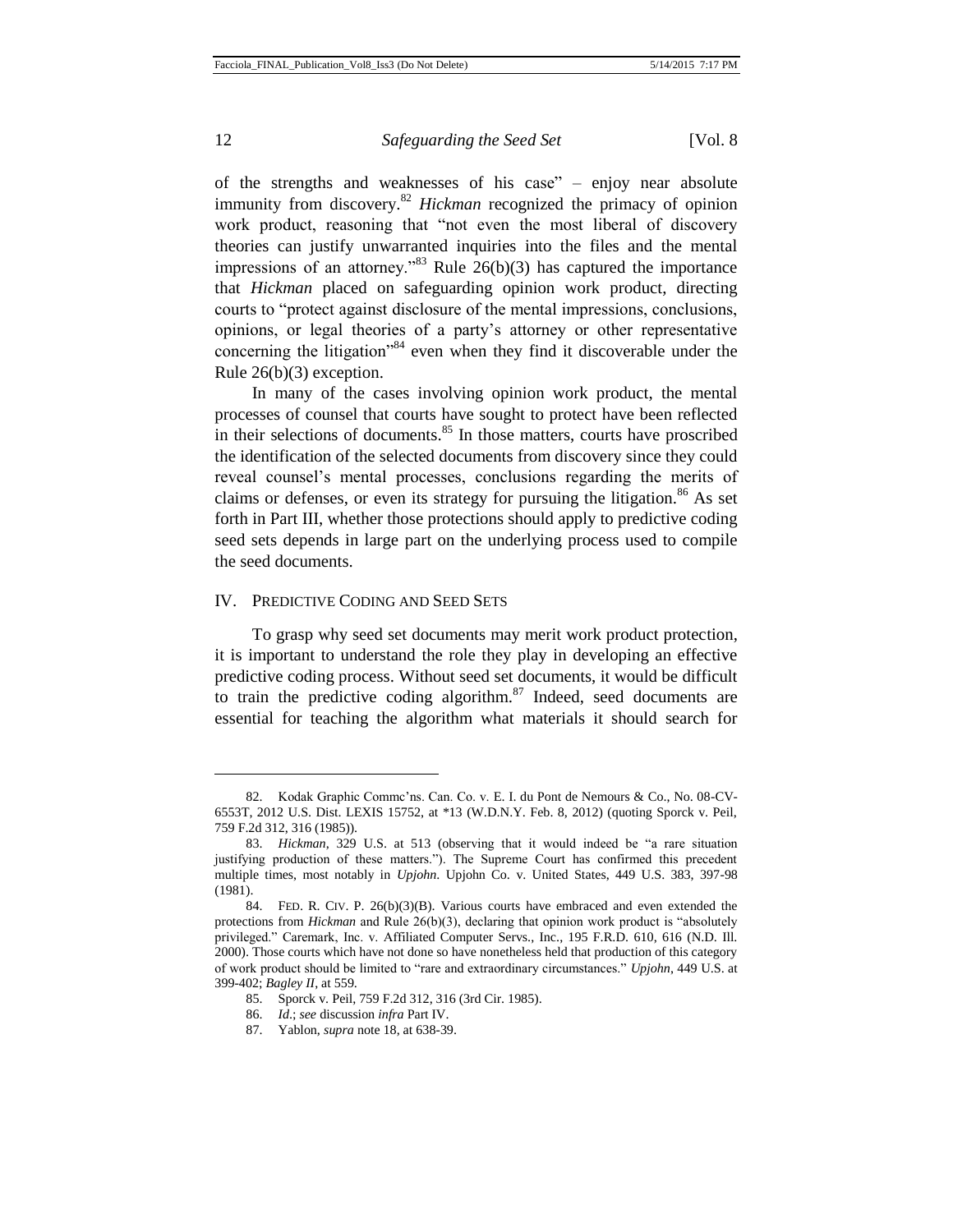$\overline{a}$ 

12 **Safeguarding the Seed Set** [Vol. 8]

of the strengths and weaknesses of his case" – enjoy near absolute immunity from discovery.<sup>82</sup> *Hickman* recognized the primacy of opinion work product, reasoning that "not even the most liberal of discovery theories can justify unwarranted inquiries into the files and the mental impressions of an attorney.<sup>383</sup> Rule  $26(b)(3)$  has captured the importance that *Hickman* placed on safeguarding opinion work product, directing courts to "protect against disclosure of the mental impressions, conclusions, opinions, or legal theories of a party's attorney or other representative concerning the litigation<sup>384</sup> even when they find it discoverable under the Rule 26(b)(3) exception.

In many of the cases involving opinion work product, the mental processes of counsel that courts have sought to protect have been reflected in their selections of documents.<sup>85</sup> In those matters, courts have proscribed the identification of the selected documents from discovery since they could reveal counsel's mental processes, conclusions regarding the merits of claims or defenses, or even its strategy for pursuing the litigation.<sup>86</sup> As set forth in Part III, whether those protections should apply to predictive coding seed sets depends in large part on the underlying process used to compile the seed documents.

#### IV. PREDICTIVE CODING AND SEED SETS

To grasp why seed set documents may merit work product protection, it is important to understand the role they play in developing an effective predictive coding process. Without seed set documents, it would be difficult to train the predictive coding algorithm. $87$  Indeed, seed documents are essential for teaching the algorithm what materials it should search for

<sup>82.</sup> Kodak Graphic Commc'ns. Can. Co. v. E. I. du Pont de Nemours & Co., No. 08-CV-6553T, 2012 U.S. Dist. LEXIS 15752, at \*13 (W.D.N.Y. Feb. 8, 2012) (quoting Sporck v. Peil, 759 F.2d 312, 316 (1985)).

<sup>83.</sup> *Hickman*, 329 U.S. at 513 (observing that it would indeed be "a rare situation justifying production of these matters."). The Supreme Court has confirmed this precedent multiple times, most notably in *Upjohn*. Upjohn Co. v. United States, 449 U.S. 383, 397-98 (1981).

<sup>84.</sup> FED. R. CIV. P. 26(b)(3)(B). Various courts have embraced and even extended the protections from *Hickman* and Rule 26(b)(3), declaring that opinion work product is "absolutely privileged." Caremark, Inc. v. Affiliated Computer Servs., Inc., 195 F.R.D. 610, 616 (N.D. Ill. 2000). Those courts which have not done so have nonetheless held that production of this category of work product should be limited to "rare and extraordinary circumstances." *Upjohn*, 449 U.S. at 399-402; *Bagley II*, at 559.

<sup>85.</sup> Sporck v. Peil, 759 F.2d 312, 316 (3rd Cir. 1985).

<sup>86.</sup> *Id*.; *see* discussion *infra* Part IV.

<sup>87.</sup> Yablon, *supra* note 18, at 638-39.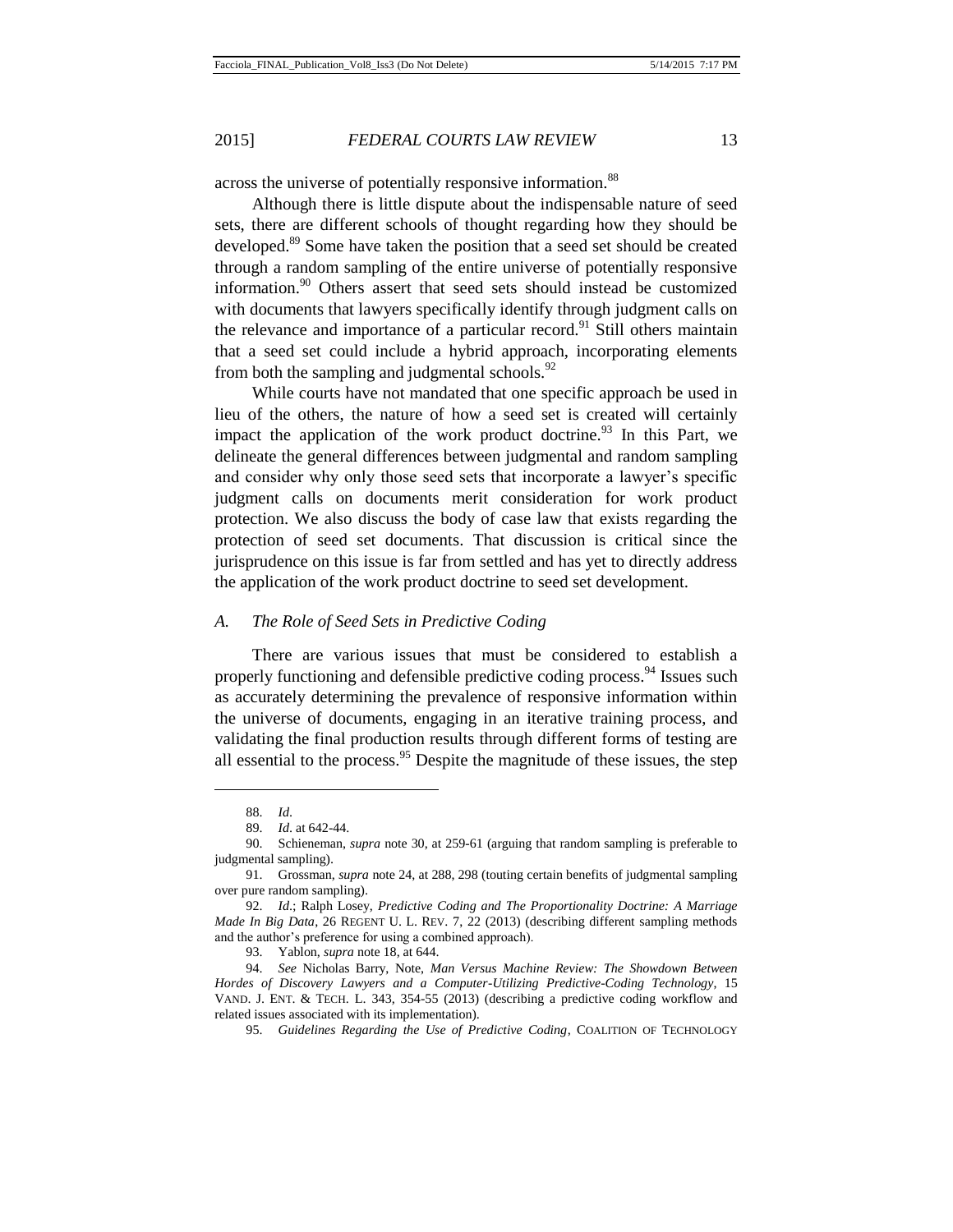across the universe of potentially responsive information.<sup>88</sup>

Although there is little dispute about the indispensable nature of seed sets, there are different schools of thought regarding how they should be developed.<sup>89</sup> Some have taken the position that a seed set should be created through a random sampling of the entire universe of potentially responsive information.<sup>90</sup> Others assert that seed sets should instead be customized with documents that lawyers specifically identify through judgment calls on the relevance and importance of a particular record.<sup>91</sup> Still others maintain that a seed set could include a hybrid approach, incorporating elements from both the sampling and judgmental schools.  $92$ 

While courts have not mandated that one specific approach be used in lieu of the others, the nature of how a seed set is created will certainly impact the application of the work product doctrine.<sup>93</sup> In this Part, we delineate the general differences between judgmental and random sampling and consider why only those seed sets that incorporate a lawyer's specific judgment calls on documents merit consideration for work product protection. We also discuss the body of case law that exists regarding the protection of seed set documents. That discussion is critical since the jurisprudence on this issue is far from settled and has yet to directly address the application of the work product doctrine to seed set development.

#### *A. The Role of Seed Sets in Predictive Coding*

There are various issues that must be considered to establish a properly functioning and defensible predictive coding process.<sup>94</sup> Issues such as accurately determining the prevalence of responsive information within the universe of documents, engaging in an iterative training process, and validating the final production results through different forms of testing are all essential to the process.<sup>95</sup> Despite the magnitude of these issues, the step

<sup>88.</sup> *Id*.

<sup>89.</sup> *Id*. at 642-44.

<sup>90.</sup> Schieneman, *supra* note 30, at 259-61 (arguing that random sampling is preferable to judgmental sampling).

<sup>91.</sup> Grossman, *supra* note 24, at 288, 298 (touting certain benefits of judgmental sampling over pure random sampling).

<sup>92.</sup> *Id*.; Ralph Losey, *Predictive Coding and The Proportionality Doctrine: A Marriage Made In Big Data*, 26 REGENT U. L. REV. 7, 22 (2013) (describing different sampling methods and the author's preference for using a combined approach).

<sup>93.</sup> Yablon, *supra* note 18, at 644.

<sup>94.</sup> *See* Nicholas Barry, Note, *Man Versus Machine Review: The Showdown Between Hordes of Discovery Lawyers and a Computer-Utilizing Predictive-Coding Technology*, 15 VAND. J. ENT. & TECH. L. 343, 354-55 (2013) (describing a predictive coding workflow and related issues associated with its implementation).

<sup>95.</sup> *Guidelines Regarding the Use of Predictive Coding*, COALITION OF TECHNOLOGY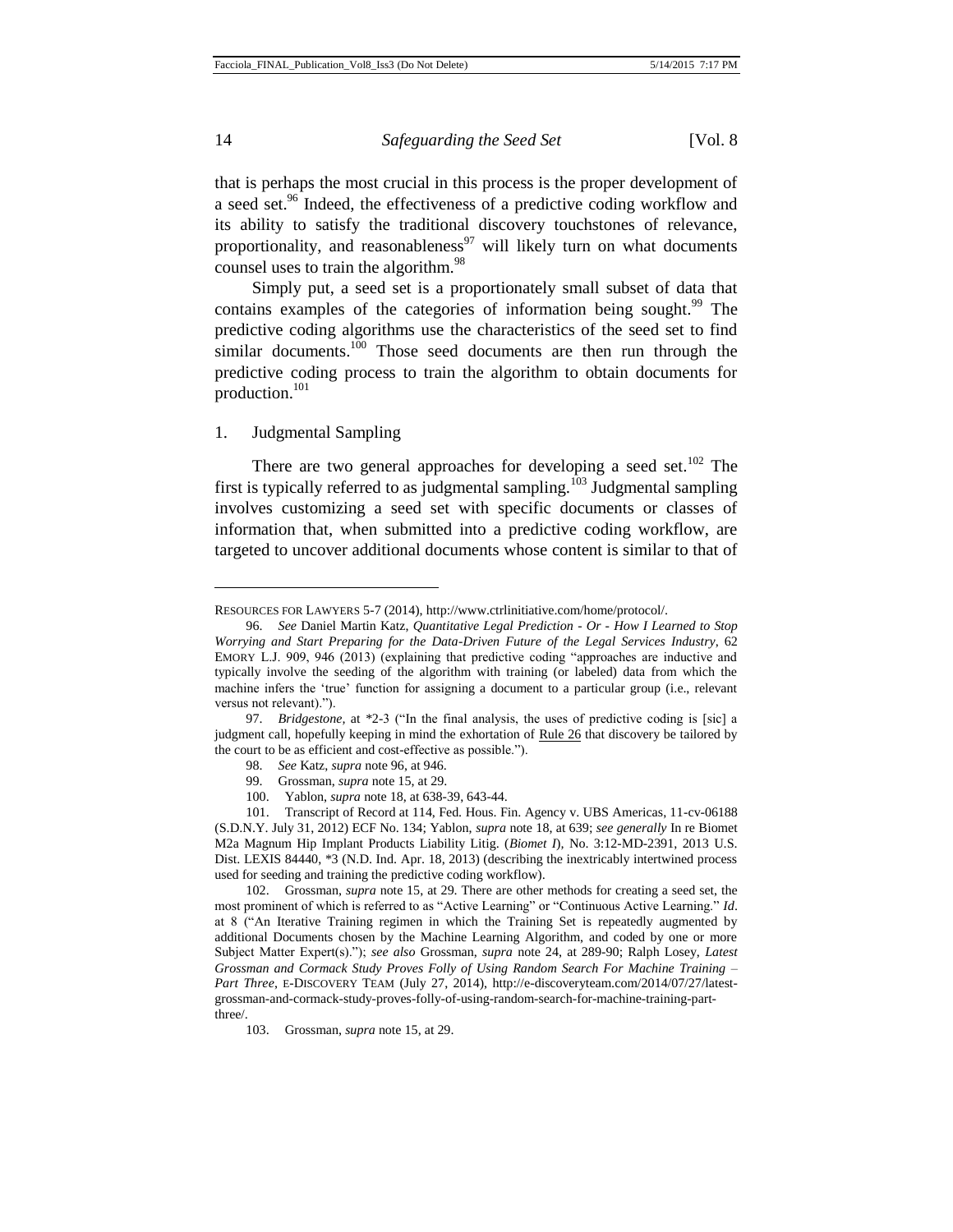that is perhaps the most crucial in this process is the proper development of a seed set.<sup>96</sup> Indeed, the effectiveness of a predictive coding workflow and its ability to satisfy the traditional discovery touchstones of relevance, proportionality, and reasonableness<sup>97</sup> will likely turn on what documents counsel uses to train the algorithm.<sup>98</sup>

Simply put, a seed set is a proportionately small subset of data that contains examples of the categories of information being sought.<sup>99</sup> The predictive coding algorithms use the characteristics of the seed set to find similar documents.<sup>100</sup> Those seed documents are then run through the predictive coding process to train the algorithm to obtain documents for production.<sup>101</sup>

#### 1. Judgmental Sampling

There are two general approaches for developing a seed set.<sup>102</sup> The first is typically referred to as judgmental sampling.<sup>103</sup> Judgmental sampling involves customizing a seed set with specific documents or classes of information that, when submitted into a predictive coding workflow, are targeted to uncover additional documents whose content is similar to that of

100. Yablon, *supra* note 18, at 638-39, 643-44.

RESOURCES FOR LAWYERS 5-7 (2014), http://www.ctrlinitiative.com/home/protocol/.

<sup>96.</sup> *See* Daniel Martin Katz, *Quantitative Legal Prediction - Or - How I Learned to Stop Worrying and Start Preparing for the Data-Driven Future of the Legal Services Industry*, 62 EMORY L.J. 909, 946 (2013) (explaining that predictive coding "approaches are inductive and typically involve the seeding of the algorithm with training (or labeled) data from which the machine infers the 'true' function for assigning a document to a particular group (i.e., relevant versus not relevant).").

<sup>97.</sup> *Bridgestone,* at \*2-3 ("In the final analysis, the uses of predictive coding is [sic] a judgment call, hopefully keeping in mind the exhortation of Rule 26 that discovery be tailored by the court to be as efficient and cost-effective as possible.").

<sup>98.</sup> *See* Katz, *supra* note 96, at 946.

<sup>99.</sup> Grossman, *supra* note 15, at 29.

<sup>101.</sup> Transcript of Record at 114, Fed. Hous. Fin. Agency v. UBS Americas, 11-cv-06188 (S.D.N.Y. July 31, 2012) ECF No. 134; Yablon, *supra* note 18, at 639; *see generally* In re Biomet M2a Magnum Hip Implant Products Liability Litig. (*Biomet I*)*,* No. 3:12-MD-2391, 2013 U.S. Dist. LEXIS 84440, \*3 (N.D. Ind. Apr. 18, 2013) (describing the inextricably intertwined process used for seeding and training the predictive coding workflow).

<sup>102.</sup> Grossman, *supra* note 15, at 29. There are other methods for creating a seed set, the most prominent of which is referred to as "Active Learning" or "Continuous Active Learning." *Id*. at 8 ("An Iterative Training regimen in which the Training Set is repeatedly augmented by additional Documents chosen by the Machine Learning Algorithm, and coded by one or more Subject Matter Expert(s)."); *see also* Grossman, *supra* note 24, at 289-90; Ralph Losey, *Latest Grossman and Cormack Study Proves Folly of Using Random Search For Machine Training – Part Three*, E-DISCOVERY TEAM (July 27, 2014), http://e-discoveryteam.com/2014/07/27/latestgrossman-and-cormack-study-proves-folly-of-using-random-search-for-machine-training-partthree/.

<sup>103.</sup> Grossman, *supra* note 15, at 29.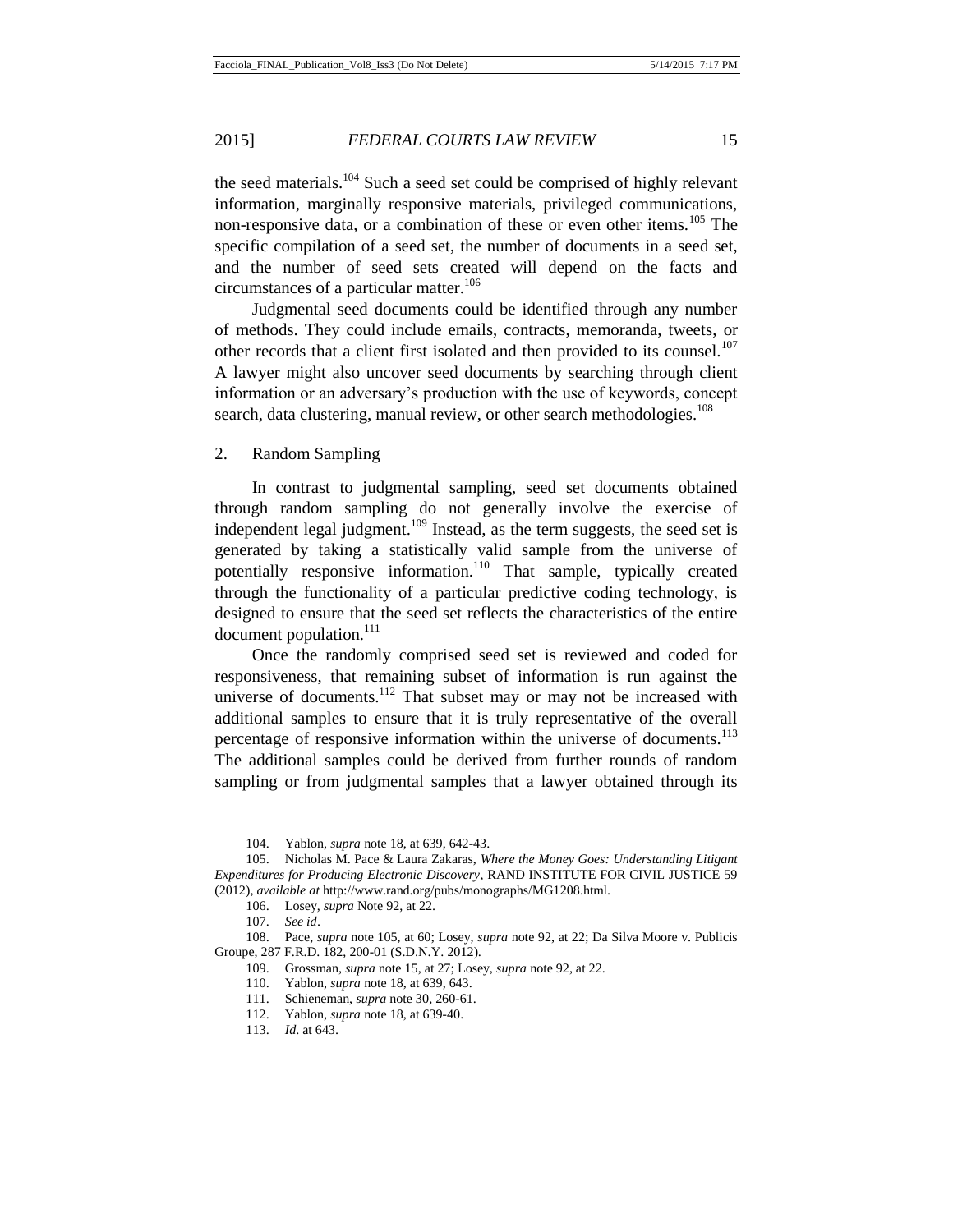the seed materials.<sup>104</sup> Such a seed set could be comprised of highly relevant information, marginally responsive materials, privileged communications, non-responsive data, or a combination of these or even other items.<sup>105</sup> The specific compilation of a seed set, the number of documents in a seed set, and the number of seed sets created will depend on the facts and circumstances of a particular matter.<sup>106</sup>

Judgmental seed documents could be identified through any number of methods. They could include emails, contracts, memoranda, tweets, or other records that a client first isolated and then provided to its counsel.<sup>107</sup> A lawyer might also uncover seed documents by searching through client information or an adversary's production with the use of keywords, concept search, data clustering, manual review, or other search methodologies.<sup>108</sup>

2. Random Sampling

In contrast to judgmental sampling, seed set documents obtained through random sampling do not generally involve the exercise of independent legal judgment.<sup>109</sup> Instead, as the term suggests, the seed set is generated by taking a statistically valid sample from the universe of potentially responsive information.<sup>110</sup> That sample, typically created through the functionality of a particular predictive coding technology, is designed to ensure that the seed set reflects the characteristics of the entire document population.<sup>111</sup>

Once the randomly comprised seed set is reviewed and coded for responsiveness, that remaining subset of information is run against the universe of documents.<sup>112</sup> That subset may or may not be increased with additional samples to ensure that it is truly representative of the overall percentage of responsive information within the universe of documents.<sup>113</sup> The additional samples could be derived from further rounds of random sampling or from judgmental samples that a lawyer obtained through its

<sup>104.</sup> Yablon, *supra* note 18, at 639, 642-43.

<sup>105.</sup> Nicholas M. Pace & Laura Zakaras, *Where the Money Goes: Understanding Litigant Expenditures for Producing Electronic Discovery*, RAND INSTITUTE FOR CIVIL JUSTICE 59 (2012), *available at* http://www.rand.org/pubs/monographs/MG1208.html.

<sup>106.</sup> Losey, *supra* Note 92, at 22.

<sup>107.</sup> *See id*.

<sup>108.</sup> Pace, *supra* note 105, at 60; Losey, *supra* note 92, at 22; Da Silva Moore v. Publicis Groupe, 287 F.R.D. 182, 200-01 (S.D.N.Y. 2012).

<sup>109.</sup> Grossman, *supra* note 15, at 27; Losey, *supra* note 92, at 22.

<sup>110.</sup> Yablon, *supra* note 18, at 639, 643.

<sup>111.</sup> Schieneman, *supra* note 30, 260-61.

<sup>112.</sup> Yablon, *supra* note 18, at 639-40.

<sup>113.</sup> *Id*. at 643.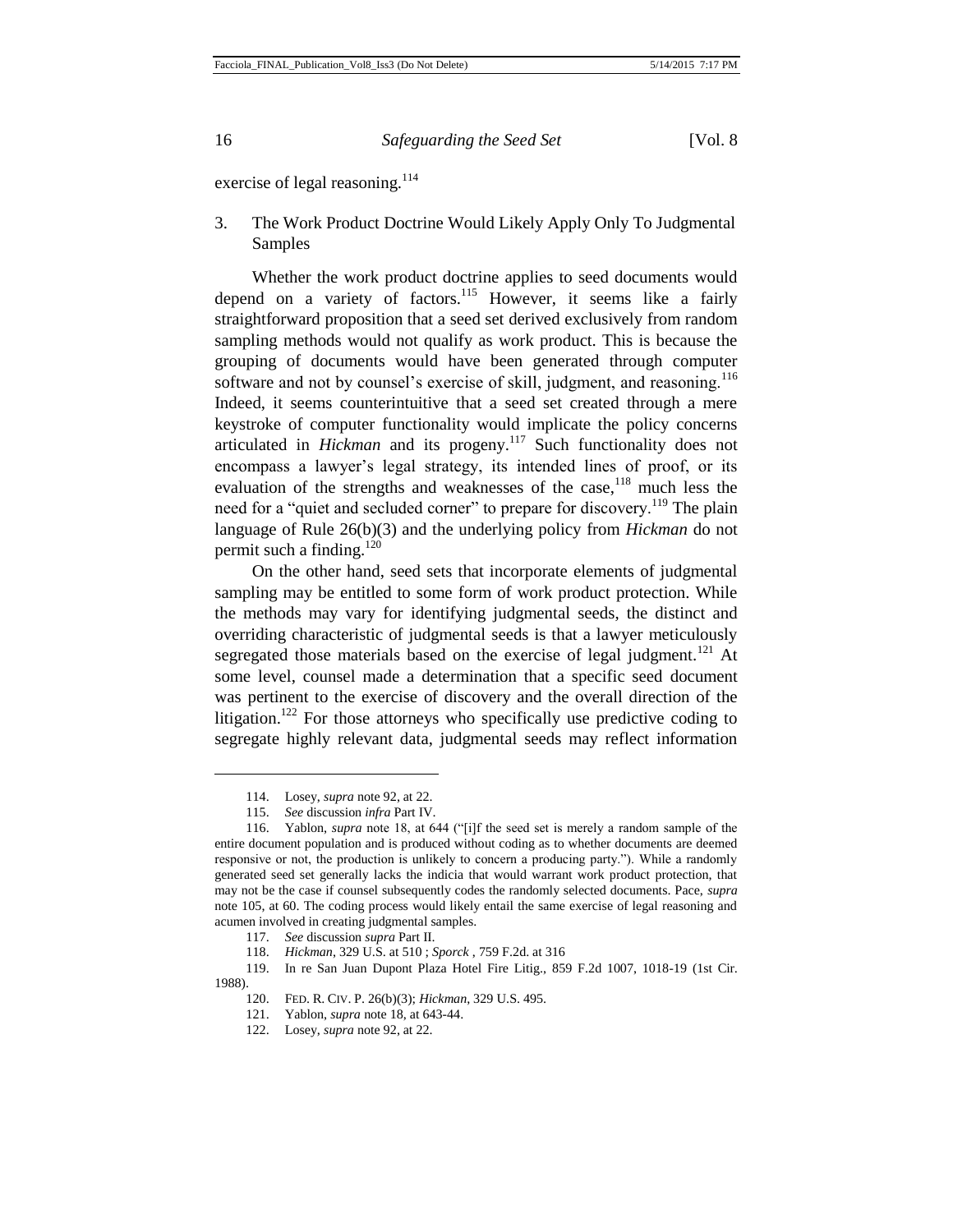exercise of legal reasoning.<sup>114</sup>

3. The Work Product Doctrine Would Likely Apply Only To Judgmental Samples

Whether the work product doctrine applies to seed documents would depend on a variety of factors.<sup>115</sup> However, it seems like a fairly straightforward proposition that a seed set derived exclusively from random sampling methods would not qualify as work product. This is because the grouping of documents would have been generated through computer software and not by counsel's exercise of skill, judgment, and reasoning.<sup>116</sup> Indeed, it seems counterintuitive that a seed set created through a mere keystroke of computer functionality would implicate the policy concerns articulated in *Hickman* and its progeny.<sup>117</sup> Such functionality does not encompass a lawyer's legal strategy, its intended lines of proof, or its evaluation of the strengths and weaknesses of the case,<sup>118</sup> much less the need for a "quiet and secluded corner" to prepare for discovery.<sup>119</sup> The plain language of Rule 26(b)(3) and the underlying policy from *Hickman* do not permit such a finding.<sup>120</sup>

On the other hand, seed sets that incorporate elements of judgmental sampling may be entitled to some form of work product protection. While the methods may vary for identifying judgmental seeds, the distinct and overriding characteristic of judgmental seeds is that a lawyer meticulously segregated those materials based on the exercise of legal judgment.<sup>121</sup> At some level, counsel made a determination that a specific seed document was pertinent to the exercise of discovery and the overall direction of the litigation.<sup>122</sup> For those attorneys who specifically use predictive coding to segregate highly relevant data, judgmental seeds may reflect information

<sup>114.</sup> Losey, *supra* note 92, at 22.

<sup>115.</sup> *See* discussion *infra* Part IV.

<sup>116.</sup> Yablon, *supra* note 18, at 644 ("[i]f the seed set is merely a random sample of the entire document population and is produced without coding as to whether documents are deemed responsive or not, the production is unlikely to concern a producing party."). While a randomly generated seed set generally lacks the indicia that would warrant work product protection, that may not be the case if counsel subsequently codes the randomly selected documents. Pace, *supra* note 105, at 60. The coding process would likely entail the same exercise of legal reasoning and acumen involved in creating judgmental samples.

<sup>117.</sup> *See* discussion *supra* Part II.

<sup>118.</sup> *Hickman*, 329 U.S. at 510 ; *Sporck* , 759 F.2d. at 316

<sup>119.</sup> In re San Juan Dupont Plaza Hotel Fire Litig., 859 F.2d 1007, 1018-19 (1st Cir. 1988).<br>120.

<sup>120.</sup> FED. R. CIV. P. 26(b)(3); *Hickman*, 329 U.S. 495.

<sup>121.</sup> Yablon, *supra* note 18, at 643-44.

<sup>122.</sup> Losey, *supra* note 92, at 22.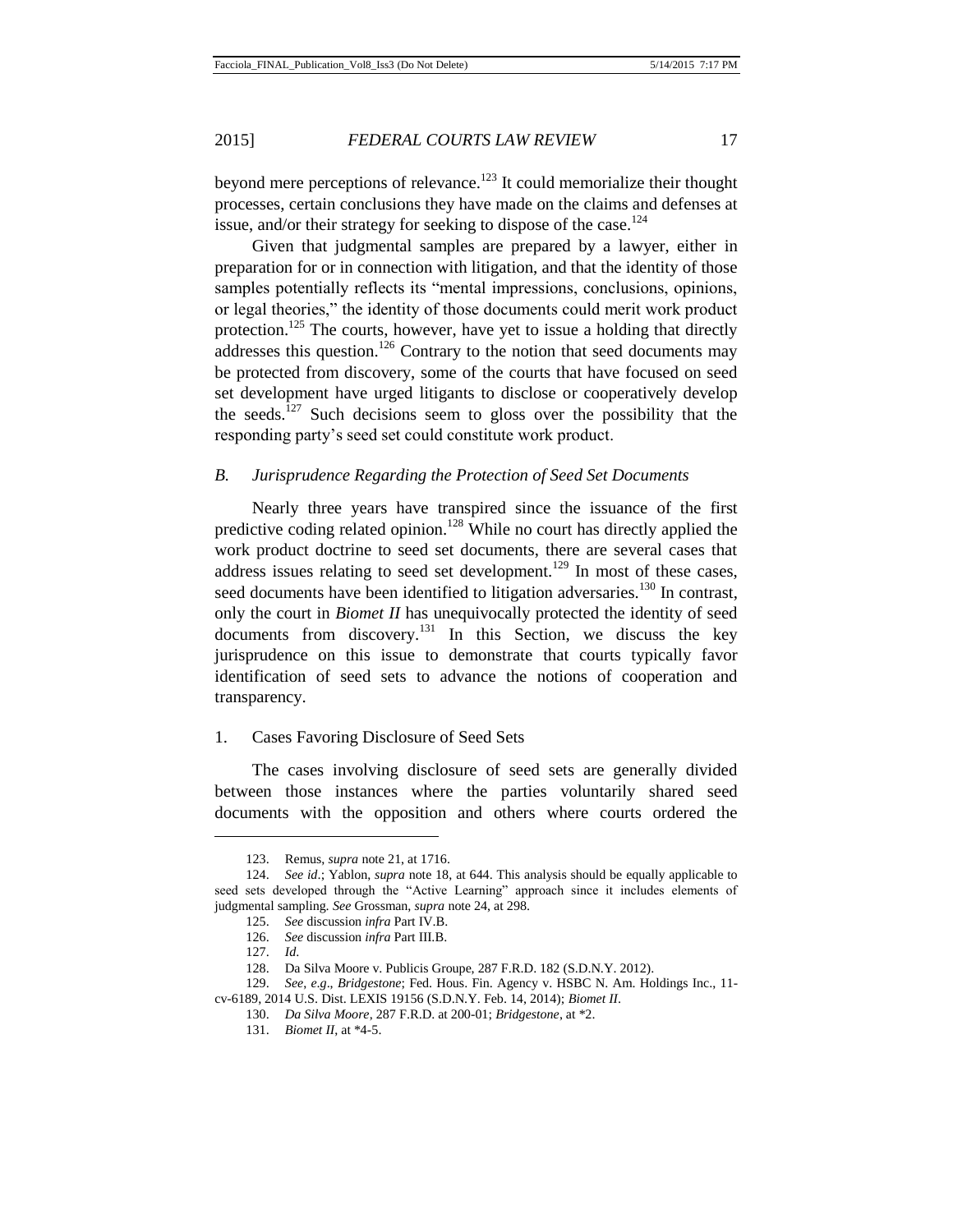beyond mere perceptions of relevance.<sup>123</sup> It could memorialize their thought processes, certain conclusions they have made on the claims and defenses at issue, and/or their strategy for seeking to dispose of the case.<sup>124</sup>

Given that judgmental samples are prepared by a lawyer, either in preparation for or in connection with litigation, and that the identity of those samples potentially reflects its "mental impressions, conclusions, opinions, or legal theories," the identity of those documents could merit work product protection.<sup>125</sup> The courts, however, have yet to issue a holding that directly addresses this question.<sup>126</sup> Contrary to the notion that seed documents may be protected from discovery, some of the courts that have focused on seed set development have urged litigants to disclose or cooperatively develop the seeds.<sup>127</sup> Such decisions seem to gloss over the possibility that the responding party's seed set could constitute work product.

#### *B. Jurisprudence Regarding the Protection of Seed Set Documents*

Nearly three years have transpired since the issuance of the first predictive coding related opinion.<sup>128</sup> While no court has directly applied the work product doctrine to seed set documents, there are several cases that address issues relating to seed set development.<sup>129</sup> In most of these cases, seed documents have been identified to litigation adversaries.<sup>130</sup> In contrast, only the court in *Biomet II* has unequivocally protected the identity of seed documents from discovery.<sup>131</sup> In this Section, we discuss the key jurisprudence on this issue to demonstrate that courts typically favor identification of seed sets to advance the notions of cooperation and transparency.

#### 1. Cases Favoring Disclosure of Seed Sets

The cases involving disclosure of seed sets are generally divided between those instances where the parties voluntarily shared seed documents with the opposition and others where courts ordered the

<sup>123.</sup> Remus, *supra* note 21, at 1716.

<sup>124.</sup> *See id*.; Yablon, *supra* note 18, at 644. This analysis should be equally applicable to seed sets developed through the "Active Learning" approach since it includes elements of judgmental sampling. *See* Grossman, *supra* note 24, at 298.

<sup>125.</sup> *See* discussion *infra* Part IV.B.

<sup>126.</sup> *See* discussion *infra* Part III.B.

<sup>127.</sup> *Id*.

<sup>128.</sup> Da Silva Moore v. Publicis Groupe, 287 F.R.D. 182 (S.D.N.Y. 2012).

<sup>129.</sup> *See*, *e*.*g*., *Bridgestone*; Fed. Hous. Fin. Agency v. HSBC N. Am. Holdings Inc., 11 cv-6189, 2014 U.S. Dist. LEXIS 19156 (S.D.N.Y. Feb. 14, 2014); *Biomet II*.

<sup>130.</sup> *Da Silva Moore*, 287 F.R.D. at 200-01; *Bridgestone*, at \*2.

<sup>131.</sup> *Biomet II*, at \*4-5.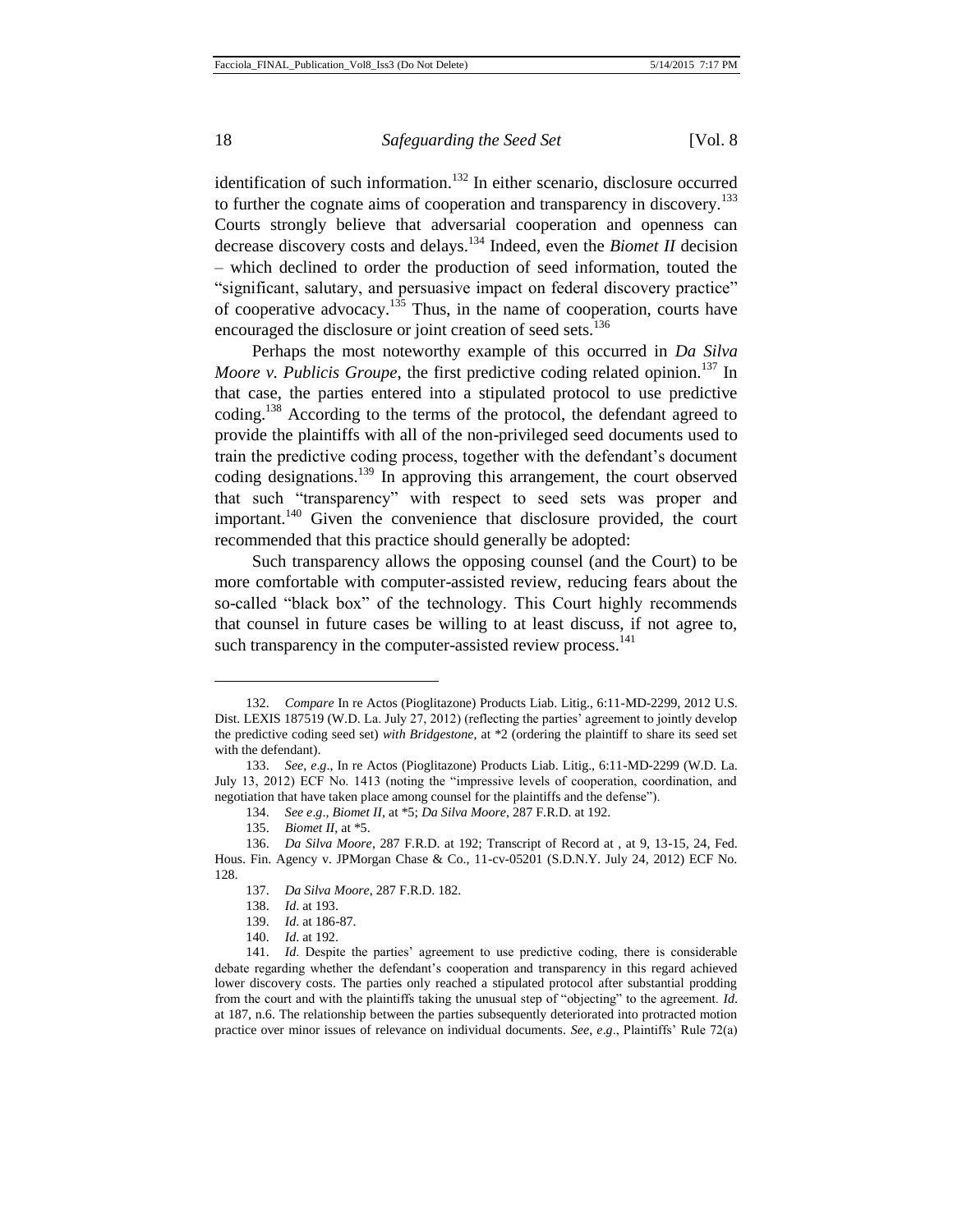identification of such information.<sup>132</sup> In either scenario, disclosure occurred to further the cognate aims of cooperation and transparency in discovery.<sup>133</sup> Courts strongly believe that adversarial cooperation and openness can decrease discovery costs and delays.<sup>134</sup> Indeed, even the *Biomet II* decision – which declined to order the production of seed information, touted the "significant, salutary, and persuasive impact on federal discovery practice" of cooperative advocacy.<sup>135</sup> Thus, in the name of cooperation, courts have encouraged the disclosure or joint creation of seed sets.<sup>136</sup>

Perhaps the most noteworthy example of this occurred in *Da Silva Moore v. Publicis Groupe*, the first predictive coding related opinion.<sup>137</sup> In that case, the parties entered into a stipulated protocol to use predictive coding.<sup>138</sup> According to the terms of the protocol, the defendant agreed to provide the plaintiffs with all of the non-privileged seed documents used to train the predictive coding process, together with the defendant's document coding designations.<sup>139</sup> In approving this arrangement, the court observed that such "transparency" with respect to seed sets was proper and important.<sup>140</sup> Given the convenience that disclosure provided, the court recommended that this practice should generally be adopted:

Such transparency allows the opposing counsel (and the Court) to be more comfortable with computer-assisted review, reducing fears about the so-called "black box" of the technology. This Court highly recommends that counsel in future cases be willing to at least discuss, if not agree to, such transparency in the computer-assisted review process.<sup>141</sup>

<sup>132.</sup> *Compare* In re Actos (Pioglitazone) Products Liab. Litig., 6:11-MD-2299, 2012 U.S. Dist. LEXIS 187519 (W.D. La. July 27, 2012) (reflecting the parties' agreement to jointly develop the predictive coding seed set) *with Bridgestone*, at \*2 (ordering the plaintiff to share its seed set with the defendant).

<sup>133.</sup> *See*, *e*.*g*., In re Actos (Pioglitazone) Products Liab. Litig., 6:11-MD-2299 (W.D. La. July 13, 2012) ECF No. 1413 (noting the "impressive levels of cooperation, coordination, and negotiation that have taken place among counsel for the plaintiffs and the defense").

<sup>134.</sup> *See e*.*g*.*, Biomet II*, at \*5; *Da Silva Moore*, 287 F.R.D. at 192.

<sup>135.</sup> *Biomet II*, at \*5.

<sup>136.</sup> *Da Silva Moore*, 287 F.R.D. at 192; Transcript of Record at , at 9, 13-15, 24, Fed. Hous. Fin. Agency v. JPMorgan Chase & Co., 11-cv-05201 (S.D.N.Y. July 24, 2012) ECF No. 128.

<sup>137.</sup> *Da Silva Moore*, 287 F.R.D. 182.

<sup>138.</sup> *Id*. at 193.

<sup>139.</sup> *Id*. at 186-87.

<sup>140.</sup> *Id*. at 192.

<sup>141.</sup> *Id*. Despite the parties' agreement to use predictive coding, there is considerable debate regarding whether the defendant's cooperation and transparency in this regard achieved lower discovery costs. The parties only reached a stipulated protocol after substantial prodding from the court and with the plaintiffs taking the unusual step of "objecting" to the agreement. *Id*. at 187, n.6. The relationship between the parties subsequently deteriorated into protracted motion practice over minor issues of relevance on individual documents. *See*, *e*.*g*., Plaintiffs' Rule 72(a)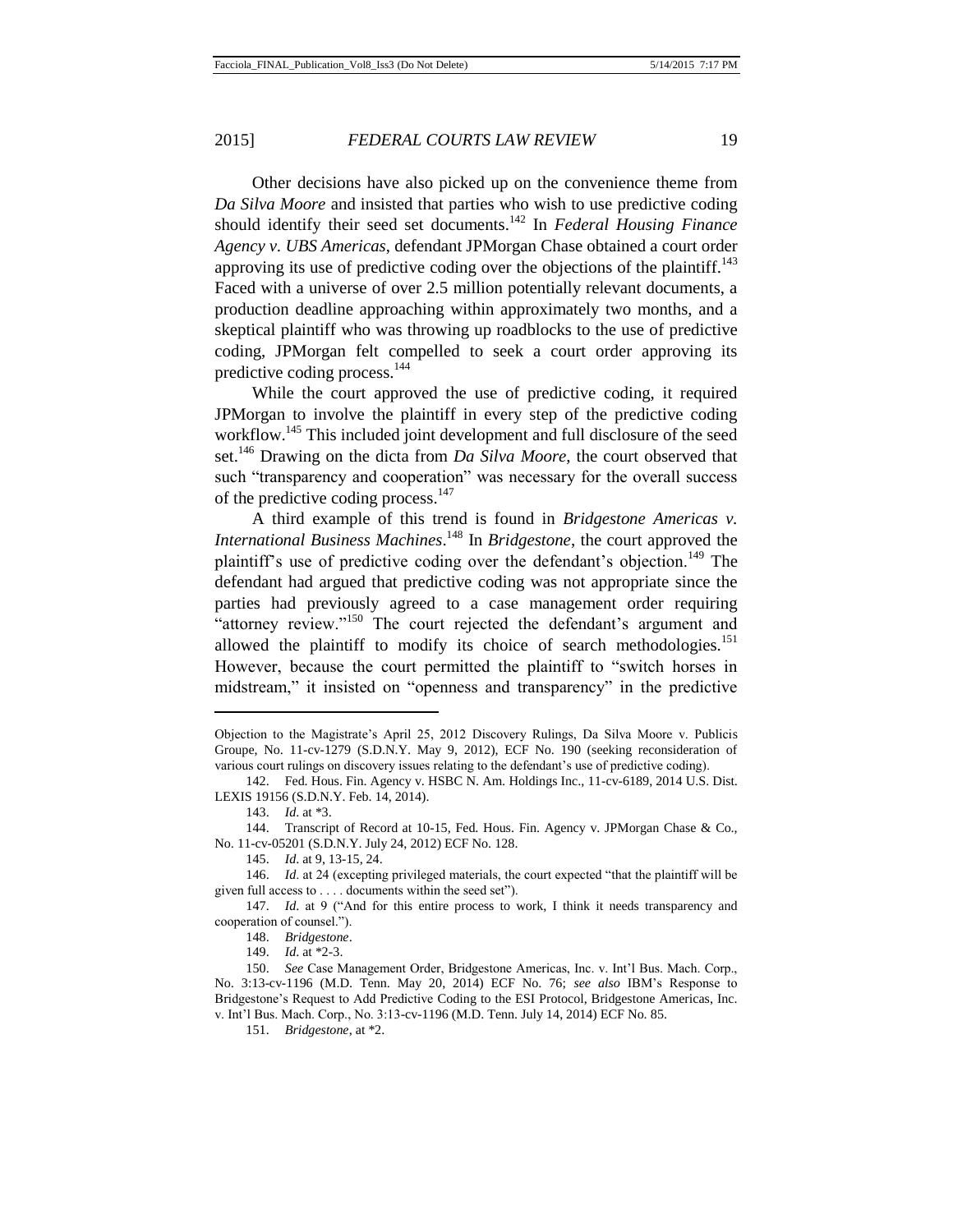Other decisions have also picked up on the convenience theme from *Da Silva Moore* and insisted that parties who wish to use predictive coding should identify their seed set documents.<sup>142</sup> In *Federal Housing Finance Agency v. UBS Americas*, defendant JPMorgan Chase obtained a court order approving its use of predictive coding over the objections of the plaintiff.<sup>143</sup> Faced with a universe of over 2.5 million potentially relevant documents, a production deadline approaching within approximately two months, and a skeptical plaintiff who was throwing up roadblocks to the use of predictive coding, JPMorgan felt compelled to seek a court order approving its predictive coding process.<sup>144</sup>

While the court approved the use of predictive coding, it required JPMorgan to involve the plaintiff in every step of the predictive coding workflow.<sup>145</sup> This included joint development and full disclosure of the seed set.<sup>146</sup> Drawing on the dicta from *Da Silva Moore*, the court observed that such "transparency and cooperation" was necessary for the overall success of the predictive coding process.<sup>147</sup>

A third example of this trend is found in *Bridgestone Americas v. International Business Machines*. <sup>148</sup> In *Bridgestone*, the court approved the plaintiff's use of predictive coding over the defendant's objection.<sup>149</sup> The defendant had argued that predictive coding was not appropriate since the parties had previously agreed to a case management order requiring "attorney review."<sup>150</sup> The court rejected the defendant's argument and allowed the plaintiff to modify its choice of search methodologies.<sup>151</sup> However, because the court permitted the plaintiff to "switch horses in midstream," it insisted on "openness and transparency" in the predictive

Objection to the Magistrate's April 25, 2012 Discovery Rulings, Da Silva Moore v. Publicis Groupe, No. 11-cv-1279 (S.D.N.Y. May 9, 2012), ECF No. 190 (seeking reconsideration of various court rulings on discovery issues relating to the defendant's use of predictive coding).

<sup>142.</sup> Fed. Hous. Fin. Agency v. HSBC N. Am. Holdings Inc., 11-cv-6189, 2014 U.S. Dist. LEXIS 19156 (S.D.N.Y. Feb. 14, 2014).

<sup>143.</sup> *Id*. at \*3.

<sup>144.</sup> Transcript of Record at 10-15, Fed. Hous. Fin. Agency v. JPMorgan Chase & Co., No. 11-cv-05201 (S.D.N.Y. July 24, 2012) ECF No. 128.

<sup>145.</sup> *Id*. at 9, 13-15, 24.

<sup>146.</sup> *Id.* at 24 (excepting privileged materials, the court expected "that the plaintiff will be given full access to . . . . documents within the seed set").

<sup>147.</sup> *Id*. at 9 ("And for this entire process to work, I think it needs transparency and cooperation of counsel.").

<sup>148.</sup> *Bridgestone*.

<sup>149.</sup> *Id*. at \*2-3.

<sup>150.</sup> *See* Case Management Order, Bridgestone Americas, Inc. v. Int'l Bus. Mach. Corp., No. 3:13-cv-1196 (M.D. Tenn. May 20, 2014) ECF No. 76; *see also* IBM's Response to Bridgestone's Request to Add Predictive Coding to the ESI Protocol, Bridgestone Americas, Inc. v. Int'l Bus. Mach. Corp., No. 3:13-cv-1196 (M.D. Tenn. July 14, 2014) ECF No. 85.

<sup>151.</sup> *Bridgestone*, at \*2.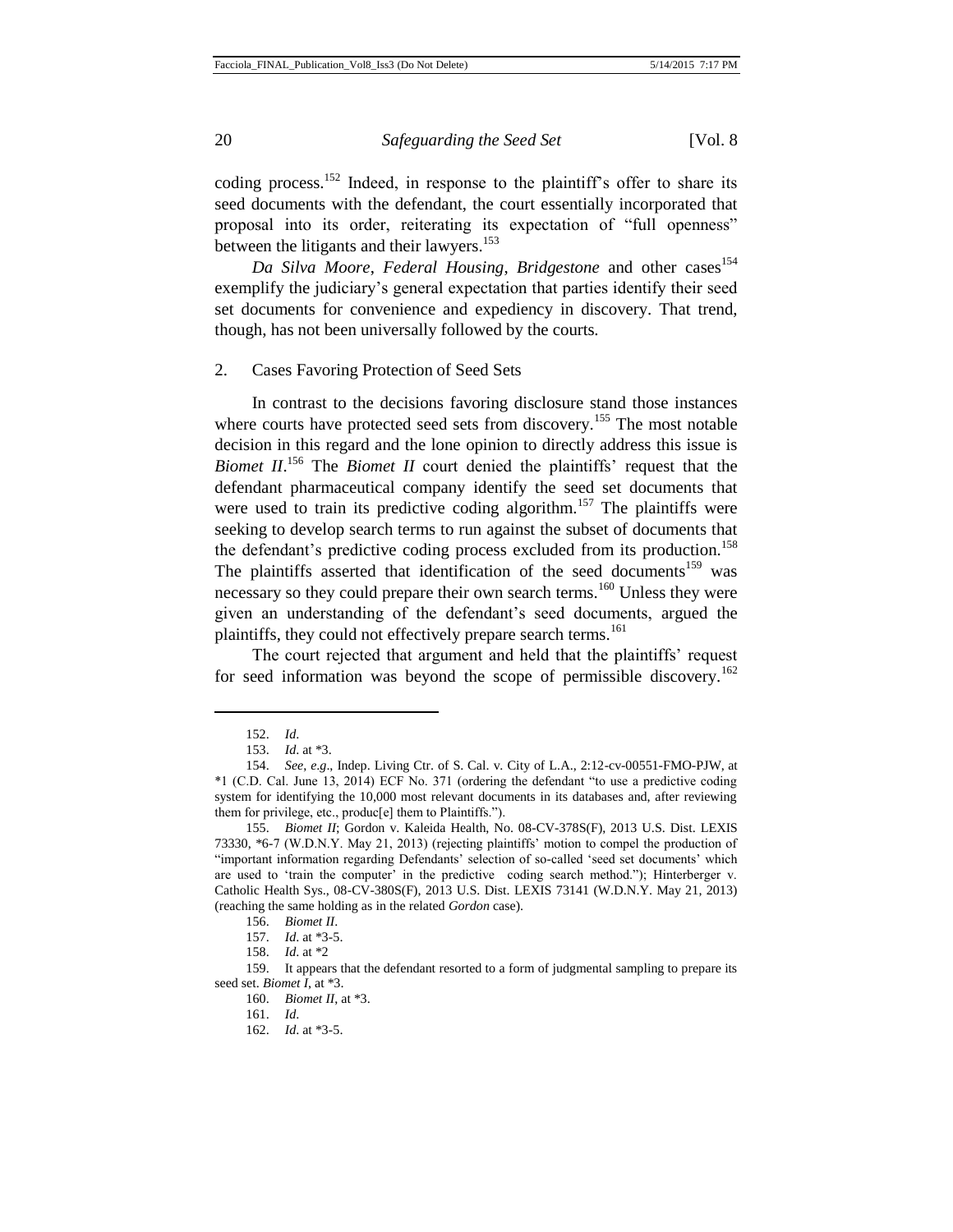coding process.<sup>152</sup> Indeed, in response to the plaintiff's offer to share its seed documents with the defendant, the court essentially incorporated that proposal into its order, reiterating its expectation of "full openness" between the litigants and their lawyers.<sup>153</sup>

*Da Silva Moore, Federal Housing, Bridgestone* and other cases<sup>154</sup> exemplify the judiciary's general expectation that parties identify their seed set documents for convenience and expediency in discovery. That trend, though, has not been universally followed by the courts.

2. Cases Favoring Protection of Seed Sets

In contrast to the decisions favoring disclosure stand those instances where courts have protected seed sets from discovery.<sup>155</sup> The most notable decision in this regard and the lone opinion to directly address this issue is *Biomet II*.<sup>156</sup> The *Biomet II* court denied the plaintiffs' request that the defendant pharmaceutical company identify the seed set documents that were used to train its predictive coding algorithm.<sup>157</sup> The plaintiffs were seeking to develop search terms to run against the subset of documents that the defendant's predictive coding process excluded from its production.<sup>158</sup> The plaintiffs asserted that identification of the seed documents<sup>159</sup> was necessary so they could prepare their own search terms.<sup>160</sup> Unless they were given an understanding of the defendant's seed documents, argued the plaintiffs, they could not effectively prepare search terms.<sup>161</sup>

The court rejected that argument and held that the plaintiffs' request for seed information was beyond the scope of permissible discovery.<sup>162</sup>

<sup>152.</sup> *Id*.

<sup>153.</sup> *Id*. at \*3.

<sup>154.</sup> *See*, *e*.*g*., Indep. Living Ctr. of S. Cal. v. City of L.A., 2:12-cv-00551-FMO-PJW, at \*1 (C.D. Cal. June 13, 2014) ECF No. 371 (ordering the defendant "to use a predictive coding system for identifying the 10,000 most relevant documents in its databases and, after reviewing them for privilege, etc., produc[e] them to Plaintiffs.").

<sup>155.</sup> *Biomet II*; Gordon v. Kaleida Health, No. 08-CV-378S(F), 2013 U.S. Dist. LEXIS 73330, \*6-7 (W.D.N.Y. May 21, 2013) (rejecting plaintiffs' motion to compel the production of "important information regarding Defendants' selection of so-called 'seed set documents' which are used to 'train the computer' in the predictive coding search method."); Hinterberger v. Catholic Health Sys., 08-CV-380S(F), 2013 U.S. Dist. LEXIS 73141 (W.D.N.Y. May 21, 2013) (reaching the same holding as in the related *Gordon* case).

<sup>156.</sup> *Biomet II*.

<sup>157.</sup> *Id*. at \*3-5.

<sup>158.</sup> *Id*. at \*2

<sup>159.</sup> It appears that the defendant resorted to a form of judgmental sampling to prepare its seed set. *Biomet I*, at \*3.

<sup>160.</sup> *Biomet II*, at \*3.

<sup>161.</sup> *Id*.

<sup>162.</sup> *Id*. at \*3-5.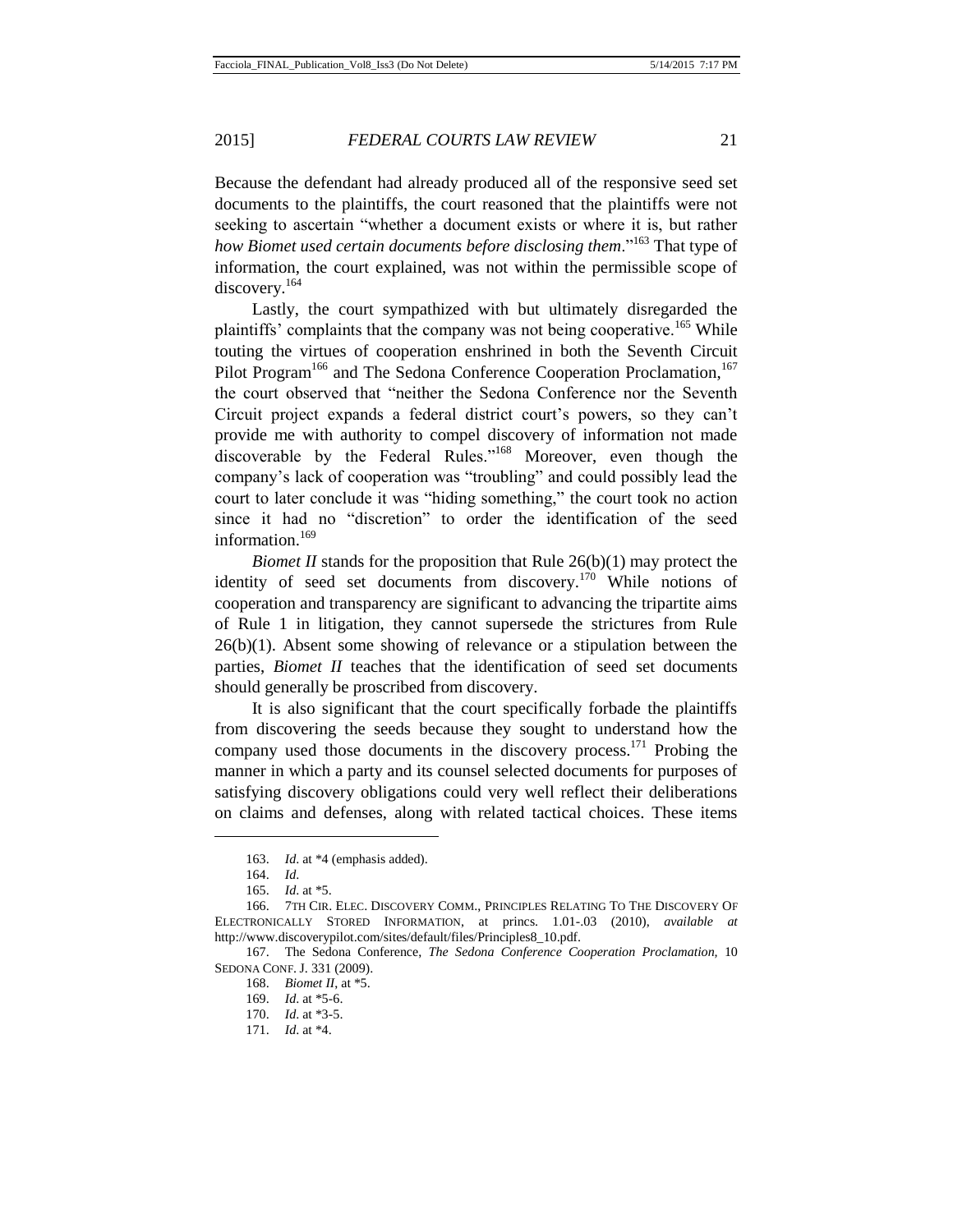Because the defendant had already produced all of the responsive seed set documents to the plaintiffs, the court reasoned that the plaintiffs were not seeking to ascertain "whether a document exists or where it is, but rather *how Biomet used certain documents before disclosing them*."<sup>163</sup> That type of information, the court explained, was not within the permissible scope of discovery.<sup>164</sup>

Lastly, the court sympathized with but ultimately disregarded the plaintiffs' complaints that the company was not being cooperative.<sup>165</sup> While touting the virtues of cooperation enshrined in both the Seventh Circuit Pilot Program<sup>166</sup> and The Sedona Conference Cooperation Proclamation,<sup>167</sup> the court observed that "neither the Sedona Conference nor the Seventh Circuit project expands a federal district court's powers, so they can't provide me with authority to compel discovery of information not made discoverable by the Federal Rules."<sup>168</sup> Moreover, even though the company's lack of cooperation was "troubling" and could possibly lead the court to later conclude it was "hiding something," the court took no action since it had no "discretion" to order the identification of the seed information.<sup>169</sup>

*Biomet II* stands for the proposition that Rule 26(b)(1) may protect the identity of seed set documents from discovery.<sup>170</sup> While notions of cooperation and transparency are significant to advancing the tripartite aims of Rule 1 in litigation, they cannot supersede the strictures from Rule  $26(b)(1)$ . Absent some showing of relevance or a stipulation between the parties, *Biomet II* teaches that the identification of seed set documents should generally be proscribed from discovery.

It is also significant that the court specifically forbade the plaintiffs from discovering the seeds because they sought to understand how the company used those documents in the discovery process.<sup>171</sup> Probing the manner in which a party and its counsel selected documents for purposes of satisfying discovery obligations could very well reflect their deliberations on claims and defenses, along with related tactical choices. These items

<sup>163.</sup> *Id*. at \*4 (emphasis added).

<sup>164.</sup> *Id*.

<sup>165.</sup> *Id*. at \*5.

<sup>166.</sup> 7TH CIR. ELEC. DISCOVERY COMM., PRINCIPLES RELATING TO THE DISCOVERY OF ELECTRONICALLY STORED INFORMATION, at princs. 1.01-.03 (2010), *available at* http://www.discoverypilot.com/sites/default/files/Principles8\_10.pdf.

<sup>167.</sup> The Sedona Conference, *The Sedona Conference Cooperation Proclamation,* 10 SEDONA CONF. J. 331 (2009).

<sup>168.</sup> *Biomet II*, at \*5.

<sup>169.</sup> *Id*. at \*5-6.

<sup>170.</sup> *Id*. at \*3-5.

<sup>171.</sup> *Id*. at \*4.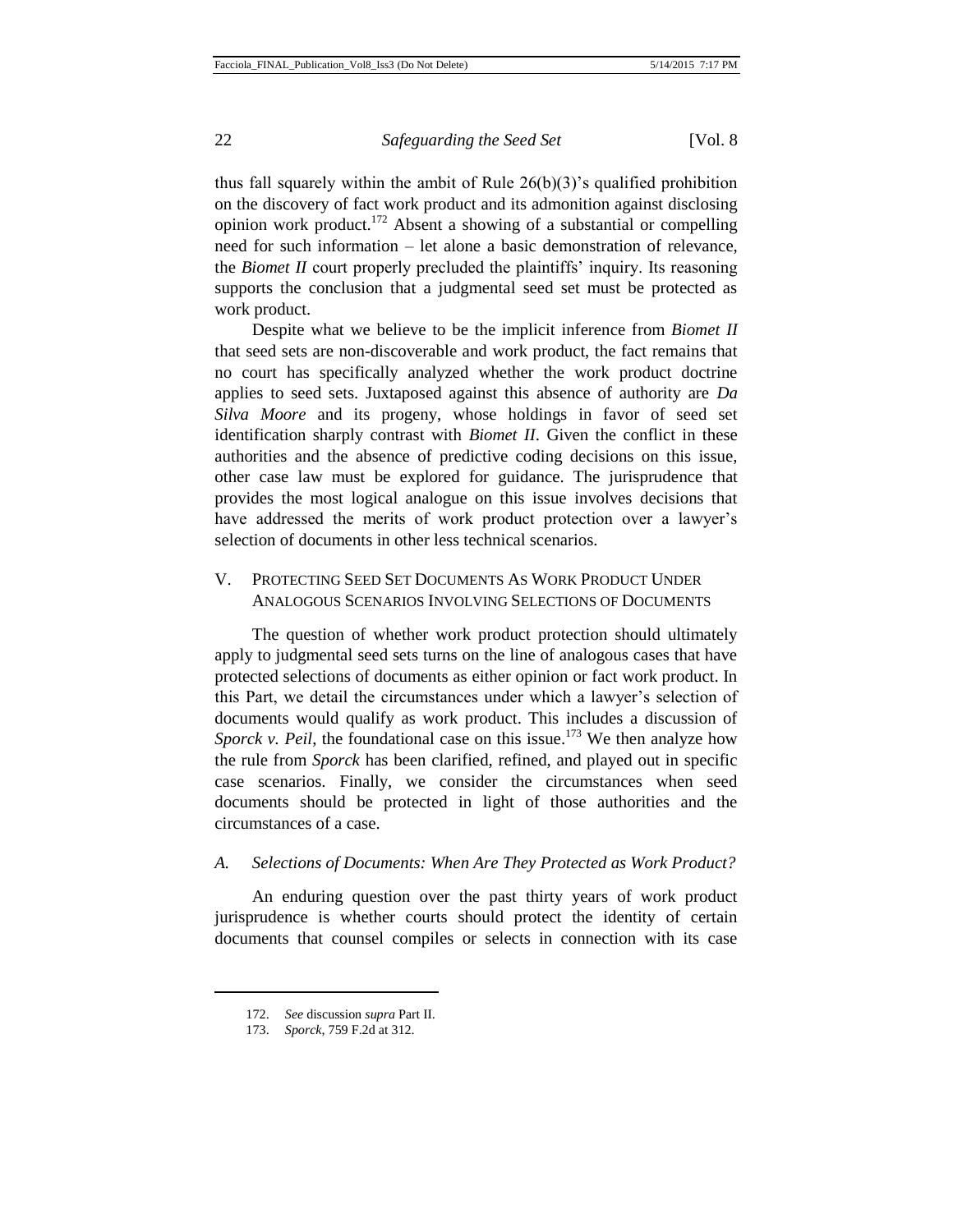thus fall squarely within the ambit of Rule 26(b)(3)'s qualified prohibition on the discovery of fact work product and its admonition against disclosing opinion work product.<sup>172</sup> Absent a showing of a substantial or compelling need for such information – let alone a basic demonstration of relevance, the *Biomet II* court properly precluded the plaintiffs' inquiry. Its reasoning supports the conclusion that a judgmental seed set must be protected as work product.

Despite what we believe to be the implicit inference from *Biomet II* that seed sets are non-discoverable and work product, the fact remains that no court has specifically analyzed whether the work product doctrine applies to seed sets. Juxtaposed against this absence of authority are *Da Silva Moore* and its progeny, whose holdings in favor of seed set identification sharply contrast with *Biomet II*. Given the conflict in these authorities and the absence of predictive coding decisions on this issue, other case law must be explored for guidance. The jurisprudence that provides the most logical analogue on this issue involves decisions that have addressed the merits of work product protection over a lawyer's selection of documents in other less technical scenarios.

# V. PROTECTING SEED SET DOCUMENTS AS WORK PRODUCT UNDER ANALOGOUS SCENARIOS INVOLVING SELECTIONS OF DOCUMENTS

The question of whether work product protection should ultimately apply to judgmental seed sets turns on the line of analogous cases that have protected selections of documents as either opinion or fact work product. In this Part, we detail the circumstances under which a lawyer's selection of documents would qualify as work product. This includes a discussion of *Sporck v. Peil*, the foundational case on this issue.<sup>173</sup> We then analyze how the rule from *Sporck* has been clarified, refined, and played out in specific case scenarios. Finally, we consider the circumstances when seed documents should be protected in light of those authorities and the circumstances of a case.

#### *A. Selections of Documents: When Are They Protected as Work Product?*

An enduring question over the past thirty years of work product jurisprudence is whether courts should protect the identity of certain documents that counsel compiles or selects in connection with its case

<sup>172.</sup> *See* discussion *supra* Part II.

<sup>173.</sup> *Sporck*, 759 F.2d at 312.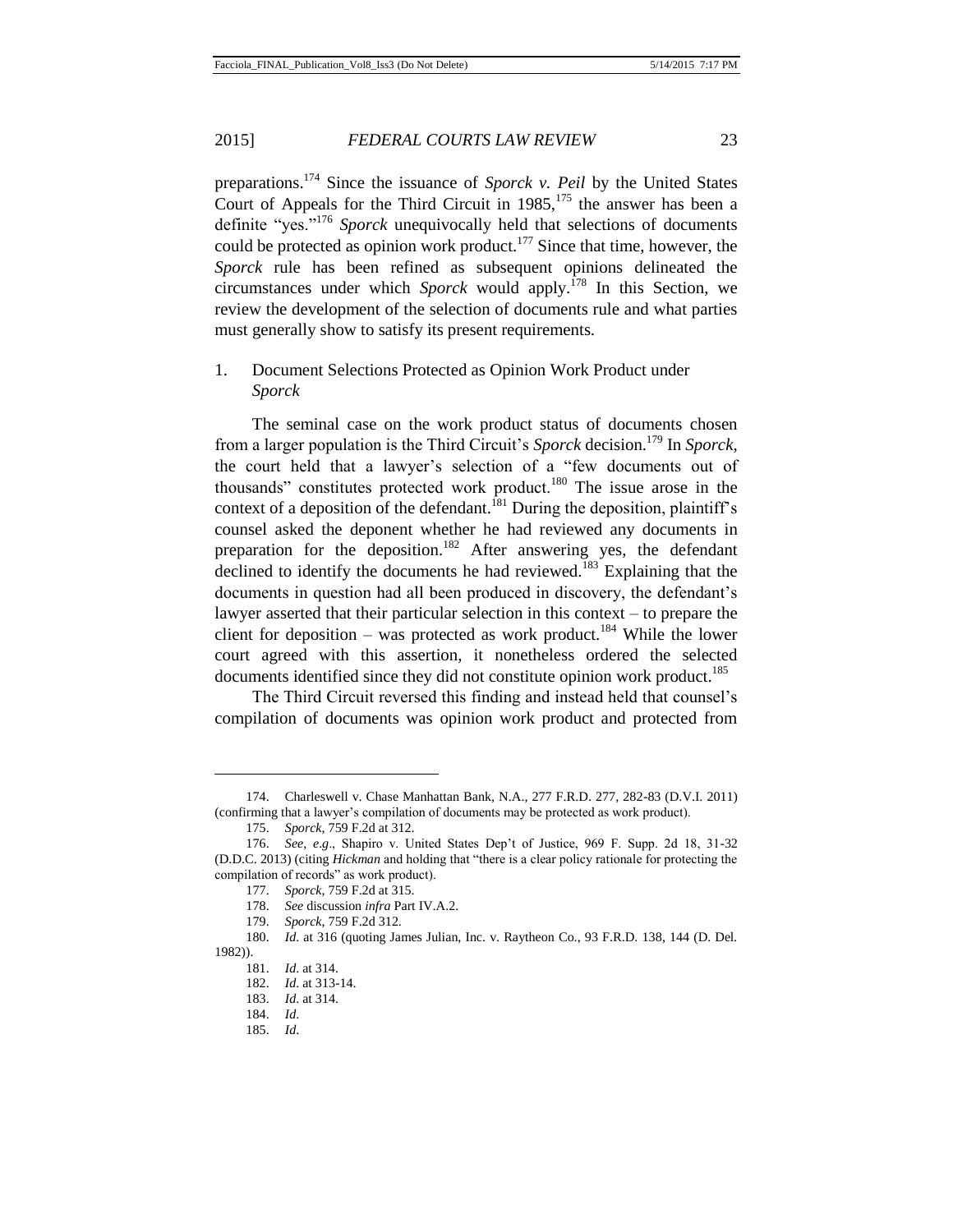preparations. <sup>174</sup> Since the issuance of *Sporck v. Peil* by the United States Court of Appeals for the Third Circuit in  $1985$ ,<sup>175</sup> the answer has been a definite "yes."<sup>176</sup> *Sporck* unequivocally held that selections of documents could be protected as opinion work product.<sup>177</sup> Since that time, however, the *Sporck* rule has been refined as subsequent opinions delineated the circumstances under which *Sporck* would apply.<sup>178</sup> In this Section, we review the development of the selection of documents rule and what parties must generally show to satisfy its present requirements.

# 1. Document Selections Protected as Opinion Work Product under *Sporck*

The seminal case on the work product status of documents chosen from a larger population is the Third Circuit's *Sporck* decision.<sup>179</sup> In *Sporck*, the court held that a lawyer's selection of a "few documents out of thousands" constitutes protected work product. $180$  The issue arose in the context of a deposition of the defendant.<sup>181</sup> During the deposition, plaintiff's counsel asked the deponent whether he had reviewed any documents in preparation for the deposition.<sup>182</sup> After answering yes, the defendant declined to identify the documents he had reviewed.<sup>183</sup> Explaining that the documents in question had all been produced in discovery, the defendant's lawyer asserted that their particular selection in this context – to prepare the client for deposition – was protected as work product.<sup>184</sup> While the lower court agreed with this assertion, it nonetheless ordered the selected documents identified since they did not constitute opinion work product.<sup>185</sup>

The Third Circuit reversed this finding and instead held that counsel's compilation of documents was opinion work product and protected from

<sup>174.</sup> Charleswell v. Chase Manhattan Bank, N.A., 277 F.R.D. 277, 282-83 (D.V.I. 2011) (confirming that a lawyer's compilation of documents may be protected as work product).

<sup>175.</sup> *Sporck*, 759 F.2d at 312.

<sup>176.</sup> *See*, *e*.*g*., Shapiro v. United States Dep't of Justice, 969 F. Supp. 2d 18, 31-32 (D.D.C. 2013) (citing *Hickman* and holding that "there is a clear policy rationale for protecting the compilation of records" as work product).

<sup>177.</sup> *Sporck*, 759 F.2d at 315.

<sup>178.</sup> *See* discussion *infra* Part IV.A.2.

<sup>179.</sup> *Sporck*, 759 F.2d 312.

<sup>180.</sup> *Id*. at 316 (quoting James Julian, Inc. v. Raytheon Co., 93 F.R.D. 138, 144 (D. Del. 1982)).

<sup>181.</sup> *Id*. at 314.

<sup>182.</sup> *Id*. at 313-14.

<sup>183.</sup> *Id*. at 314.

<sup>184.</sup> *Id*.

<sup>185.</sup> *Id*.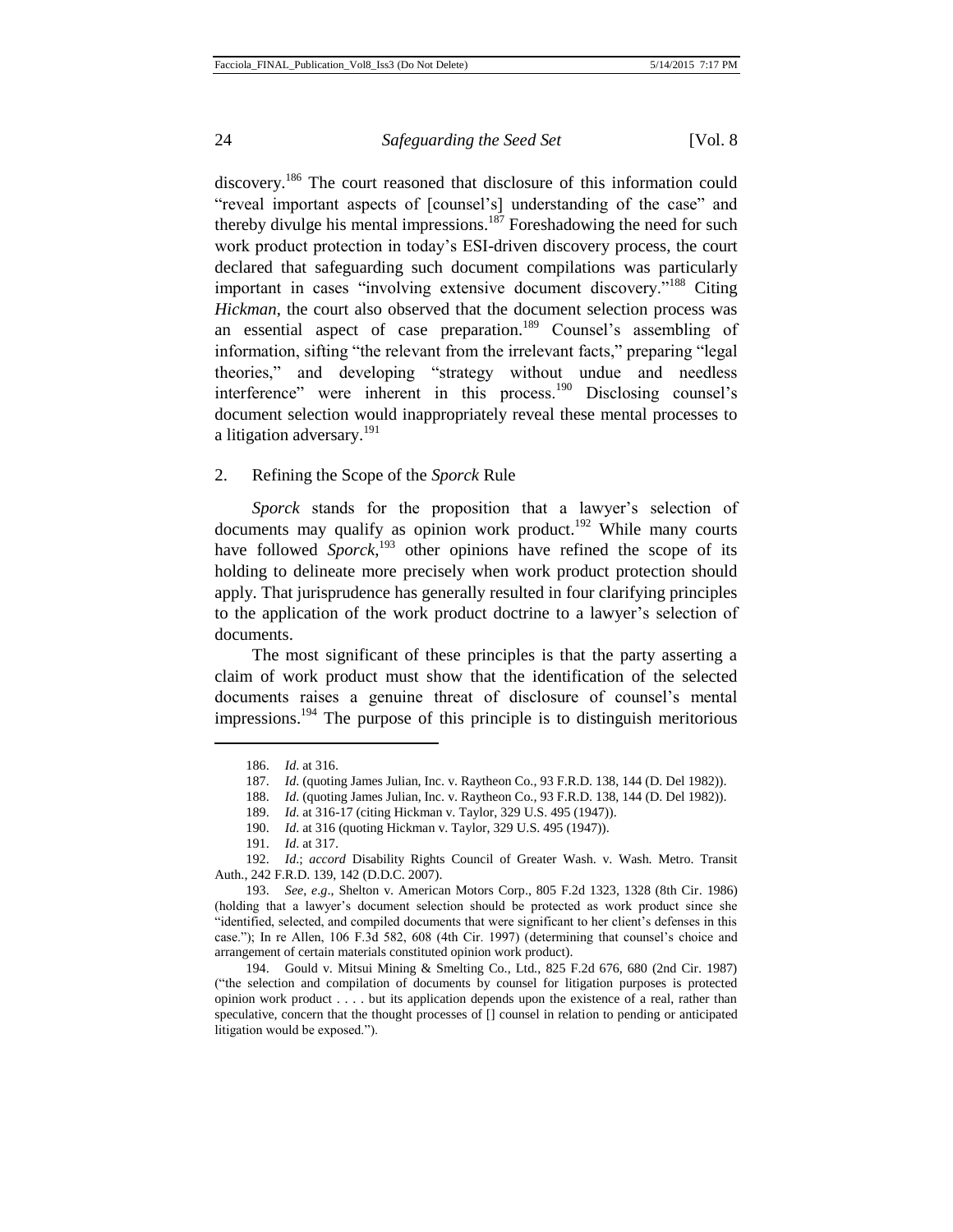discovery.<sup>186</sup> The court reasoned that disclosure of this information could "reveal important aspects of [counsel's] understanding of the case" and thereby divulge his mental impressions.<sup>187</sup> Foreshadowing the need for such work product protection in today's ESI-driven discovery process, the court declared that safeguarding such document compilations was particularly important in cases "involving extensive document discovery."<sup>188</sup> Citing *Hickman*, the court also observed that the document selection process was an essential aspect of case preparation.<sup>189</sup> Counsel's assembling of information, sifting "the relevant from the irrelevant facts," preparing "legal theories," and developing "strategy without undue and needless interference" were inherent in this process.<sup>190</sup> Disclosing counsel's document selection would inappropriately reveal these mental processes to a litigation adversary.<sup>191</sup>

#### 2. Refining the Scope of the *Sporck* Rule

*Sporck* stands for the proposition that a lawyer's selection of documents may qualify as opinion work product.<sup>192</sup> While many courts have followed *Sporck*<sup>193</sup> other opinions have refined the scope of its holding to delineate more precisely when work product protection should apply. That jurisprudence has generally resulted in four clarifying principles to the application of the work product doctrine to a lawyer's selection of documents.

The most significant of these principles is that the party asserting a claim of work product must show that the identification of the selected documents raises a genuine threat of disclosure of counsel's mental impressions.<sup>194</sup> The purpose of this principle is to distinguish meritorious

l

188. *Id*. (quoting James Julian, Inc. v. Raytheon Co., 93 F.R.D. 138, 144 (D. Del 1982)).

190. *Id*. at 316 (quoting Hickman v. Taylor, 329 U.S. 495 (1947)).

194. Gould v. Mitsui Mining & Smelting Co., Ltd., 825 F.2d 676, 680 (2nd Cir. 1987) ("the selection and compilation of documents by counsel for litigation purposes is protected opinion work product . . . . but its application depends upon the existence of a real, rather than speculative, concern that the thought processes of [] counsel in relation to pending or anticipated litigation would be exposed.").

<sup>186.</sup> *Id*. at 316.

<sup>187.</sup> *Id*. (quoting James Julian, Inc. v. Raytheon Co., 93 F.R.D. 138, 144 (D. Del 1982)).

<sup>189.</sup> *Id*. at 316-17 (citing Hickman v. Taylor, 329 U.S. 495 (1947)).

<sup>191.</sup> *Id*. at 317.

<sup>192.</sup> *Id*.; *accord* Disability Rights Council of Greater Wash. v. Wash. Metro. Transit Auth., 242 F.R.D. 139, 142 (D.D.C. 2007).

<sup>193.</sup> *See*, *e*.*g*., Shelton v. American Motors Corp., 805 F.2d 1323, 1328 (8th Cir. 1986) (holding that a lawyer's document selection should be protected as work product since she "identified, selected, and compiled documents that were significant to her client's defenses in this case."); In re Allen, 106 F.3d 582, 608 (4th Cir. 1997) (determining that counsel's choice and arrangement of certain materials constituted opinion work product).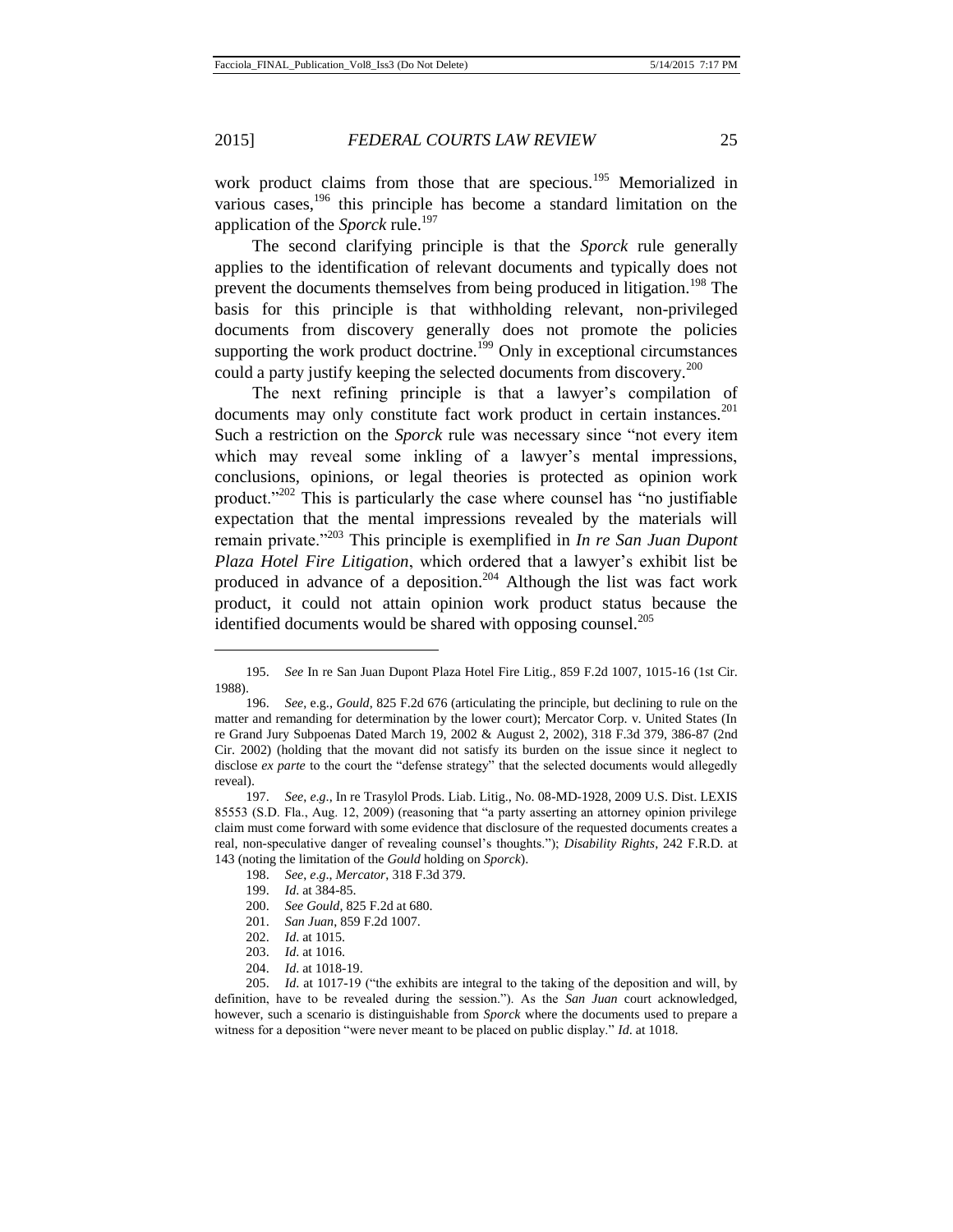l

#### 2015] *FEDERAL COURTS LAW REVIEW* 25

work product claims from those that are specious.<sup>195</sup> Memorialized in various cases,<sup>196</sup> this principle has become a standard limitation on the application of the *Sporck* rule.<sup>197</sup>

The second clarifying principle is that the *Sporck* rule generally applies to the identification of relevant documents and typically does not prevent the documents themselves from being produced in litigation.<sup>198</sup> The basis for this principle is that withholding relevant, non-privileged documents from discovery generally does not promote the policies supporting the work product doctrine.<sup>199</sup> Only in exceptional circumstances could a party justify keeping the selected documents from discovery.<sup>200</sup>

The next refining principle is that a lawyer's compilation of documents may only constitute fact work product in certain instances.<sup>201</sup> Such a restriction on the *Sporck* rule was necessary since "not every item which may reveal some inkling of a lawyer's mental impressions, conclusions, opinions, or legal theories is protected as opinion work product."<sup>202</sup> This is particularly the case where counsel has "no justifiable" expectation that the mental impressions revealed by the materials will remain private."<sup>203</sup> This principle is exemplified in *In re San Juan Dupont Plaza Hotel Fire Litigation*, which ordered that a lawyer's exhibit list be produced in advance of a deposition.<sup>204</sup> Although the list was fact work product, it could not attain opinion work product status because the identified documents would be shared with opposing counsel.<sup>205</sup>

<sup>195.</sup> *See* In re San Juan Dupont Plaza Hotel Fire Litig., 859 F.2d 1007, 1015-16 (1st Cir. 1988).

<sup>196.</sup> *See*, e.g.*, Gould*, 825 F.2d 676 (articulating the principle, but declining to rule on the matter and remanding for determination by the lower court); Mercator Corp. v. United States (In re Grand Jury Subpoenas Dated March 19, 2002 & August 2, 2002), 318 F.3d 379, 386-87 (2nd Cir. 2002) (holding that the movant did not satisfy its burden on the issue since it neglect to disclose *ex parte* to the court the "defense strategy" that the selected documents would allegedly reveal).

<sup>197.</sup> *See*, *e*.*g*., In re Trasylol Prods. Liab. Litig., No. 08-MD-1928, 2009 U.S. Dist. LEXIS 85553 (S.D. Fla., Aug. 12, 2009) (reasoning that "a party asserting an attorney opinion privilege claim must come forward with some evidence that disclosure of the requested documents creates a real, non-speculative danger of revealing counsel's thoughts."); *Disability Rights*, 242 F.R.D. at 143 (noting the limitation of the *Gould* holding on *Sporck*).

<sup>198.</sup> *See*, *e*.*g*., *Mercator*, 318 F.3d 379.

<sup>199.</sup> *Id*. at 384-85.

<sup>200.</sup> *See Gould*, 825 F.2d at 680.

<sup>201.</sup> *San Juan*, 859 F.2d 1007.

<sup>202.</sup> *Id*. at 1015.

<sup>203.</sup> *Id*. at 1016.

<sup>204.</sup> *Id*. at 1018-19.

<sup>205.</sup> *Id*. at 1017-19 ("the exhibits are integral to the taking of the deposition and will, by definition, have to be revealed during the session."). As the *San Juan* court acknowledged, however, such a scenario is distinguishable from *Sporck* where the documents used to prepare a witness for a deposition "were never meant to be placed on public display." *Id*. at 1018.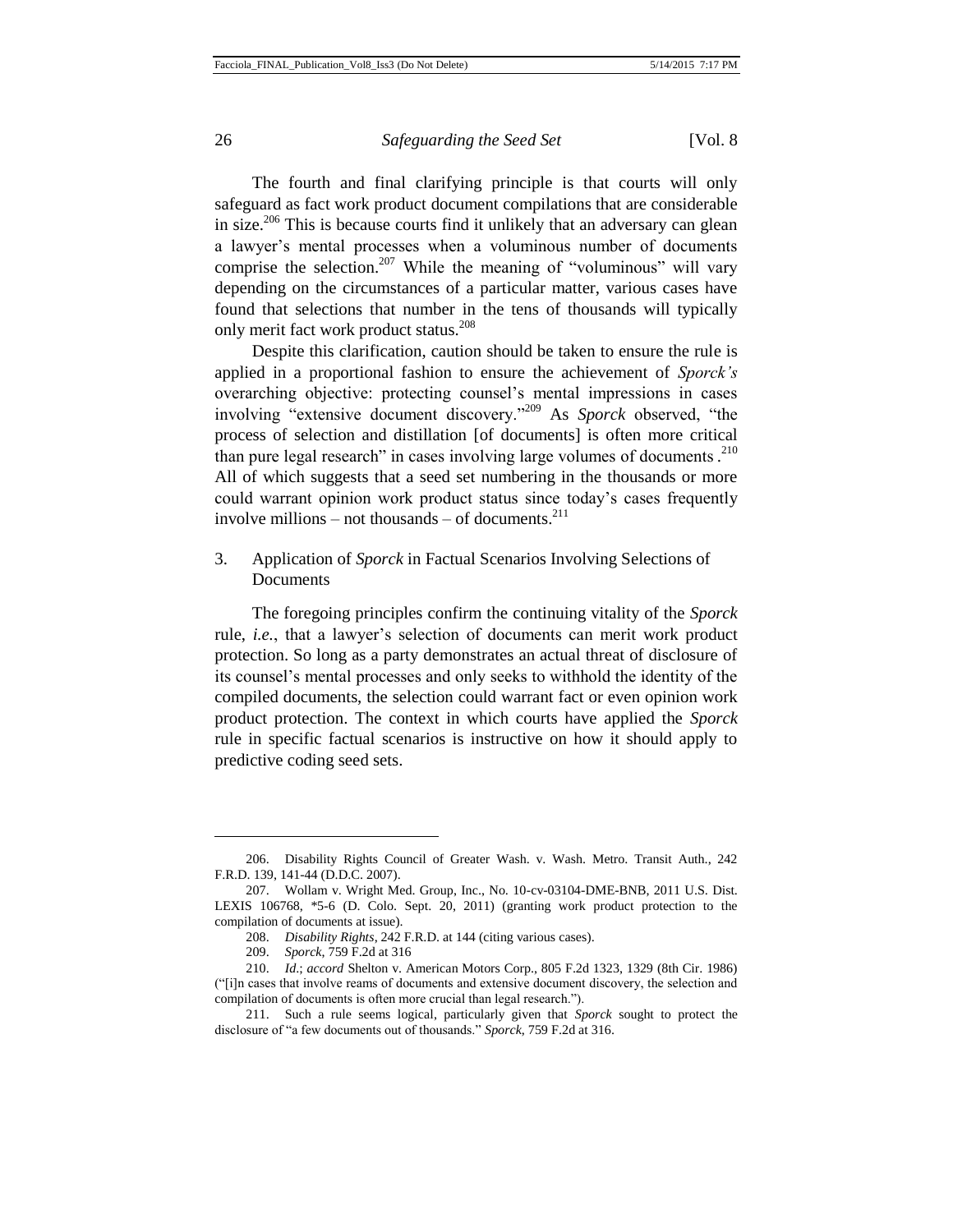The fourth and final clarifying principle is that courts will only safeguard as fact work product document compilations that are considerable in size.<sup>206</sup> This is because courts find it unlikely that an adversary can glean a lawyer's mental processes when a voluminous number of documents comprise the selection.<sup>207</sup> While the meaning of "voluminous" will vary depending on the circumstances of a particular matter, various cases have found that selections that number in the tens of thousands will typically only merit fact work product status.<sup>208</sup>

Despite this clarification, caution should be taken to ensure the rule is applied in a proportional fashion to ensure the achievement of *Sporck's*  overarching objective: protecting counsel's mental impressions in cases involving "extensive document discovery."<sup>209</sup> As *Sporck* observed, "the process of selection and distillation [of documents] is often more critical than pure legal research" in cases involving large volumes of documents.<sup>210</sup> All of which suggests that a seed set numbering in the thousands or more could warrant opinion work product status since today's cases frequently involve millions – not thousands – of documents. $^{211}$ 

# 3. Application of *Sporck* in Factual Scenarios Involving Selections of Documents

The foregoing principles confirm the continuing vitality of the *Sporck* rule, *i.e.*, that a lawyer's selection of documents can merit work product protection. So long as a party demonstrates an actual threat of disclosure of its counsel's mental processes and only seeks to withhold the identity of the compiled documents, the selection could warrant fact or even opinion work product protection. The context in which courts have applied the *Sporck* rule in specific factual scenarios is instructive on how it should apply to predictive coding seed sets.

<sup>206.</sup> Disability Rights Council of Greater Wash. v. Wash. Metro. Transit Auth., 242 F.R.D. 139, 141-44 (D.D.C. 2007).

<sup>207.</sup> Wollam v. Wright Med. Group, Inc., No. 10-cv-03104-DME-BNB, 2011 U.S. Dist. LEXIS 106768, \*5-6 (D. Colo. Sept. 20, 2011) (granting work product protection to the compilation of documents at issue).

<sup>208.</sup> *Disability Rights*, 242 F.R.D. at 144 (citing various cases).

<sup>209.</sup> *Sporck*, 759 F.2d at 316

<sup>210.</sup> *Id*.; *accord* Shelton v. American Motors Corp., 805 F.2d 1323, 1329 (8th Cir. 1986) ("[i]n cases that involve reams of documents and extensive document discovery, the selection and compilation of documents is often more crucial than legal research.").

<sup>211.</sup> Such a rule seems logical, particularly given that *Sporck* sought to protect the disclosure of "a few documents out of thousands." *Sporck*, 759 F.2d at 316.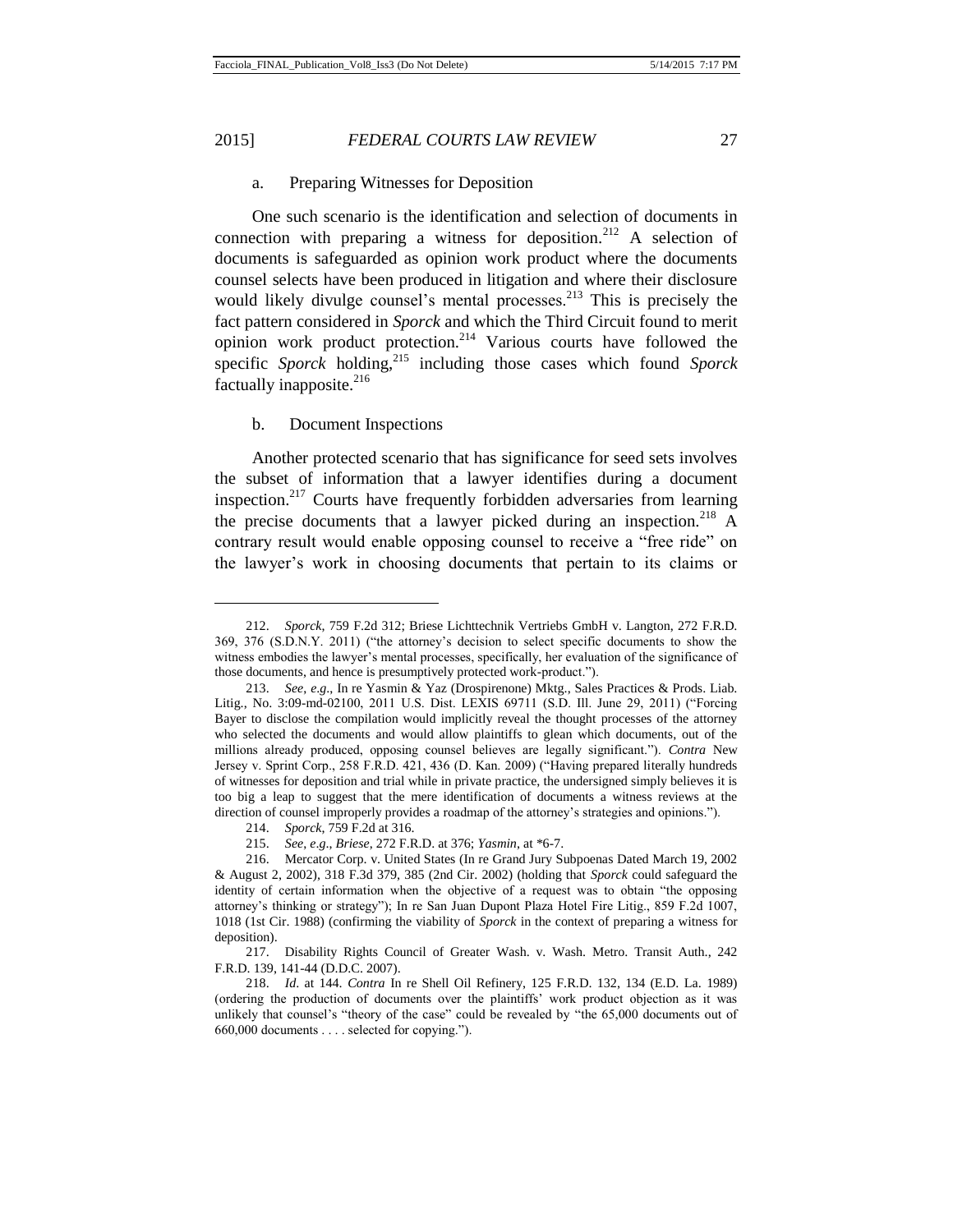#### a. Preparing Witnesses for Deposition

One such scenario is the identification and selection of documents in connection with preparing a witness for deposition.<sup>212</sup> A selection of documents is safeguarded as opinion work product where the documents counsel selects have been produced in litigation and where their disclosure would likely divulge counsel's mental processes. $^{213}$  This is precisely the fact pattern considered in *Sporck* and which the Third Circuit found to merit opinion work product protection.<sup>214</sup> Various courts have followed the specific *Sporck* holding,<sup>215</sup> including those cases which found *Sporck* factually inapposite. $^{216}$ 

#### b. Document Inspections

Another protected scenario that has significance for seed sets involves the subset of information that a lawyer identifies during a document inspection.<sup>217</sup> Courts have frequently forbidden adversaries from learning the precise documents that a lawyer picked during an inspection.<sup>218</sup> A contrary result would enable opposing counsel to receive a "free ride" on the lawyer's work in choosing documents that pertain to its claims or

<sup>212.</sup> *Sporck*, 759 F.2d 312; Briese Lichttechnik Vertriebs GmbH v. Langton, 272 F.R.D. 369, 376 (S.D.N.Y. 2011) ("the attorney's decision to select specific documents to show the witness embodies the lawyer's mental processes, specifically, her evaluation of the significance of those documents, and hence is presumptively protected work-product.").

<sup>213.</sup> *See*, *e*.*g*., In re Yasmin & Yaz (Drospirenone) Mktg., Sales Practices & Prods. Liab. Litig., No. 3:09-md-02100, 2011 U.S. Dist. LEXIS 69711 (S.D. Ill. June 29, 2011) ("Forcing Bayer to disclose the compilation would implicitly reveal the thought processes of the attorney who selected the documents and would allow plaintiffs to glean which documents, out of the millions already produced, opposing counsel believes are legally significant."). *Contra* New Jersey v. Sprint Corp., 258 F.R.D. 421, 436 (D. Kan. 2009) ("Having prepared literally hundreds of witnesses for deposition and trial while in private practice, the undersigned simply believes it is too big a leap to suggest that the mere identification of documents a witness reviews at the direction of counsel improperly provides a roadmap of the attorney's strategies and opinions.").

<sup>214.</sup> *Sporck*, 759 F.2d at 316.

<sup>215.</sup> *See*, *e*.*g*., *Briese*, 272 F.R.D. at 376; *Yasmin*, at \*6-7.

<sup>216.</sup> Mercator Corp. v. United States (In re Grand Jury Subpoenas Dated March 19, 2002 & August 2, 2002), 318 F.3d 379, 385 (2nd Cir. 2002) (holding that *Sporck* could safeguard the identity of certain information when the objective of a request was to obtain "the opposing attorney's thinking or strategy"); In re San Juan Dupont Plaza Hotel Fire Litig., 859 F.2d 1007, 1018 (1st Cir. 1988) (confirming the viability of *Sporck* in the context of preparing a witness for deposition).

<sup>217.</sup> Disability Rights Council of Greater Wash. v. Wash. Metro. Transit Auth., 242 F.R.D. 139, 141-44 (D.D.C. 2007).

<sup>218.</sup> *Id*. at 144. *Contra* In re Shell Oil Refinery, 125 F.R.D. 132, 134 (E.D. La. 1989) (ordering the production of documents over the plaintiffs' work product objection as it was unlikely that counsel's "theory of the case" could be revealed by "the 65,000 documents out of 660,000 documents . . . . selected for copying.").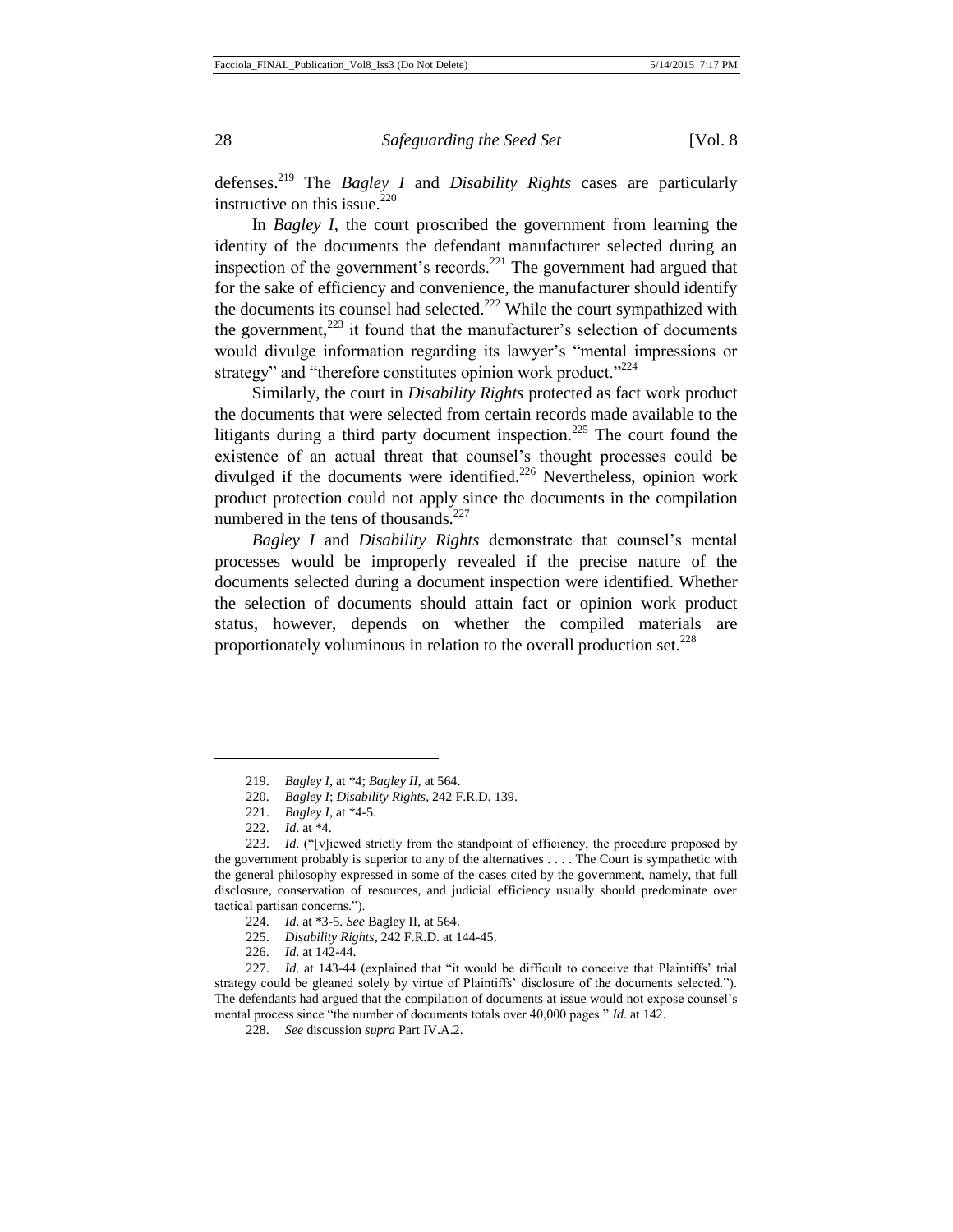defenses.<sup>219</sup> The *Bagley I* and *Disability Rights* cases are particularly instructive on this issue.<sup>220</sup>

In *Bagley I*, the court proscribed the government from learning the identity of the documents the defendant manufacturer selected during an inspection of the government's records.<sup>221</sup> The government had argued that for the sake of efficiency and convenience, the manufacturer should identify the documents its counsel had selected.<sup>222</sup> While the court sympathized with the government, $^{223}$  it found that the manufacturer's selection of documents would divulge information regarding its lawyer's "mental impressions or strategy" and "therefore constitutes opinion work product."<sup>224</sup>

Similarly, the court in *Disability Rights* protected as fact work product the documents that were selected from certain records made available to the litigants during a third party document inspection.<sup>225</sup> The court found the existence of an actual threat that counsel's thought processes could be divulged if the documents were identified.<sup>226</sup> Nevertheless, opinion work product protection could not apply since the documents in the compilation numbered in the tens of thousands. $227$ 

*Bagley I* and *Disability Rights* demonstrate that counsel's mental processes would be improperly revealed if the precise nature of the documents selected during a document inspection were identified. Whether the selection of documents should attain fact or opinion work product status, however, depends on whether the compiled materials are proportionately voluminous in relation to the overall production set. $228$ 

<sup>219.</sup> *Bagley I*, at \*4; *Bagley II*, at 564.

<sup>220.</sup> *Bagley I*; *Disability Rights*, 242 F.R.D. 139.

<sup>221.</sup> *Bagley I*, at \*4-5.

<sup>222.</sup> *Id*. at \*4.

<sup>223.</sup> *Id*. ("[v]iewed strictly from the standpoint of efficiency, the procedure proposed by the government probably is superior to any of the alternatives . . . . The Court is sympathetic with the general philosophy expressed in some of the cases cited by the government, namely, that full disclosure, conservation of resources, and judicial efficiency usually should predominate over tactical partisan concerns.").

<sup>224.</sup> *Id*. at \*3-5. *See* Bagley II, at 564.

<sup>225.</sup> *Disability Rights*, 242 F.R.D. at 144-45.

<sup>226.</sup> *Id*. at 142-44.

<sup>227.</sup> *Id*. at 143-44 (explained that "it would be difficult to conceive that Plaintiffs' trial strategy could be gleaned solely by virtue of Plaintiffs' disclosure of the documents selected."). The defendants had argued that the compilation of documents at issue would not expose counsel's mental process since "the number of documents totals over 40,000 pages." *Id*. at 142.

<sup>228.</sup> *See* discussion *supra* Part IV.A.2.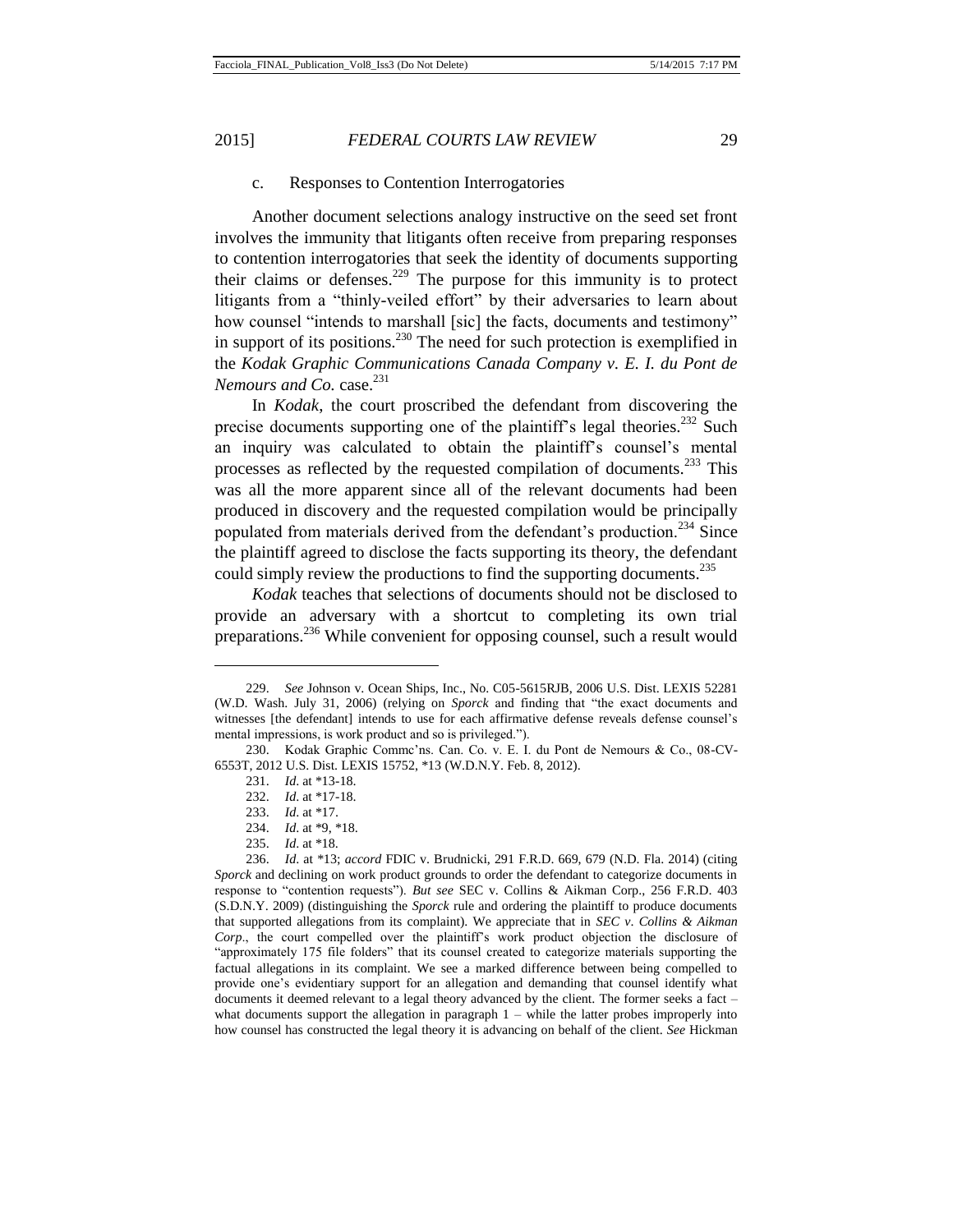# c. Responses to Contention Interrogatories

Another document selections analogy instructive on the seed set front involves the immunity that litigants often receive from preparing responses to contention interrogatories that seek the identity of documents supporting their claims or defenses.<sup>229</sup> The purpose for this immunity is to protect litigants from a "thinly-veiled effort" by their adversaries to learn about how counsel "intends to marshall [sic] the facts, documents and testimony" in support of its positions.<sup>230</sup> The need for such protection is exemplified in the *Kodak Graphic Communications Canada Company v. E. I. du Pont de Nemours and Co.* case.<sup>231</sup>

In *Kodak*, the court proscribed the defendant from discovering the precise documents supporting one of the plaintiff's legal theories.<sup>232</sup> Such an inquiry was calculated to obtain the plaintiff's counsel's mental processes as reflected by the requested compilation of documents.<sup>233</sup> This was all the more apparent since all of the relevant documents had been produced in discovery and the requested compilation would be principally populated from materials derived from the defendant's production.<sup>234</sup> Since the plaintiff agreed to disclose the facts supporting its theory, the defendant could simply review the productions to find the supporting documents.<sup>235</sup>

*Kodak* teaches that selections of documents should not be disclosed to provide an adversary with a shortcut to completing its own trial preparations.<sup>236</sup> While convenient for opposing counsel, such a result would

<sup>229.</sup> *See* Johnson v. Ocean Ships, Inc., No. C05-5615RJB, 2006 U.S. Dist. LEXIS 52281 (W.D. Wash. July 31, 2006) (relying on *Sporck* and finding that "the exact documents and witnesses [the defendant] intends to use for each affirmative defense reveals defense counsel's mental impressions, is work product and so is privileged.").

<sup>230.</sup> Kodak Graphic Commc'ns. Can. Co. v. E. I. du Pont de Nemours & Co., 08-CV-6553T, 2012 U.S. Dist. LEXIS 15752, \*13 (W.D.N.Y. Feb. 8, 2012).

<sup>231.</sup> *Id*. at \*13-18.

<sup>232.</sup> *Id*. at \*17-18.

<sup>233.</sup> *Id*. at \*17.

<sup>234.</sup> *Id*. at \*9, \*18.

<sup>235.</sup> *Id*. at \*18.

<sup>236.</sup> *Id*. at \*13; *accord* FDIC v. Brudnicki, 291 F.R.D. 669, 679 (N.D. Fla. 2014) (citing *Sporck* and declining on work product grounds to order the defendant to categorize documents in response to "contention requests"). *But see* SEC v. Collins & Aikman Corp., 256 F.R.D. 403 (S.D.N.Y. 2009) (distinguishing the *Sporck* rule and ordering the plaintiff to produce documents that supported allegations from its complaint). We appreciate that in *SEC v*. *Collins & Aikman Corp*., the court compelled over the plaintiff's work product objection the disclosure of "approximately 175 file folders" that its counsel created to categorize materials supporting the factual allegations in its complaint. We see a marked difference between being compelled to provide one's evidentiary support for an allegation and demanding that counsel identify what documents it deemed relevant to a legal theory advanced by the client. The former seeks a fact – what documents support the allegation in paragraph  $1 -$  while the latter probes improperly into how counsel has constructed the legal theory it is advancing on behalf of the client. *See* Hickman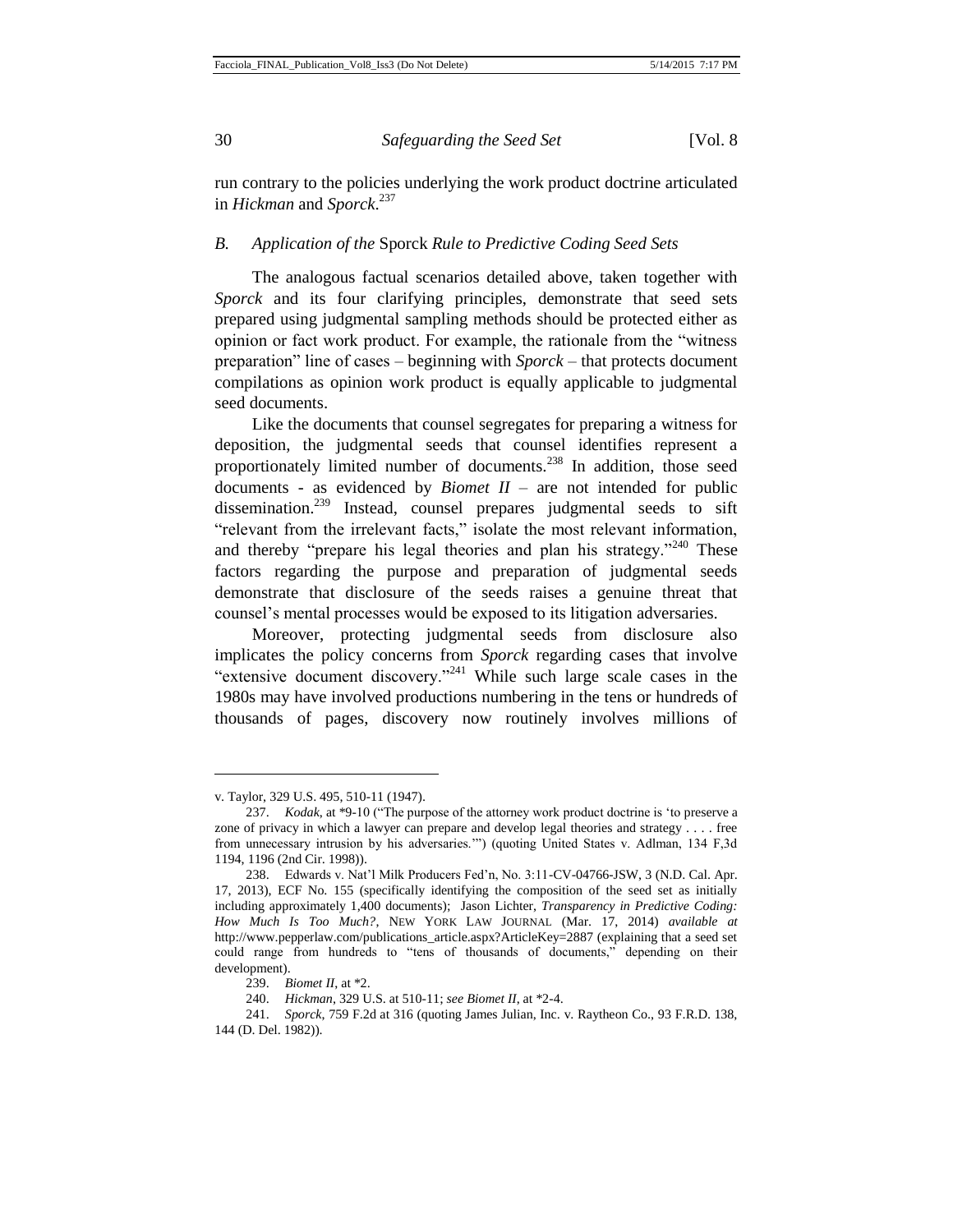run contrary to the policies underlying the work product doctrine articulated in *Hickman* and *Sporck*. 237

#### *B. Application of the* Sporck *Rule to Predictive Coding Seed Sets*

The analogous factual scenarios detailed above, taken together with *Sporck* and its four clarifying principles, demonstrate that seed sets prepared using judgmental sampling methods should be protected either as opinion or fact work product. For example, the rationale from the "witness preparation" line of cases – beginning with *Sporck* – that protects document compilations as opinion work product is equally applicable to judgmental seed documents.

Like the documents that counsel segregates for preparing a witness for deposition, the judgmental seeds that counsel identifies represent a proportionately limited number of documents.<sup>238</sup> In addition, those seed documents - as evidenced by *Biomet II* – are not intended for public dissemination.<sup>239</sup> Instead, counsel prepares judgmental seeds to sift "relevant from the irrelevant facts," isolate the most relevant information, and thereby "prepare his legal theories and plan his strategy."<sup>240</sup> These factors regarding the purpose and preparation of judgmental seeds demonstrate that disclosure of the seeds raises a genuine threat that counsel's mental processes would be exposed to its litigation adversaries.

Moreover, protecting judgmental seeds from disclosure also implicates the policy concerns from *Sporck* regarding cases that involve "extensive document discovery."<sup>241</sup> While such large scale cases in the 1980s may have involved productions numbering in the tens or hundreds of thousands of pages, discovery now routinely involves millions of

v. Taylor, 329 U.S. 495, 510-11 (1947).

<sup>237.</sup> *Kodak*, at \*9-10 ("The purpose of the attorney work product doctrine is 'to preserve a zone of privacy in which a lawyer can prepare and develop legal theories and strategy . . . . free from unnecessary intrusion by his adversaries.'") (quoting United States v. Adlman, 134 F,3d 1194, 1196 (2nd Cir. 1998)).

<sup>238.</sup> Edwards v. Nat'l Milk Producers Fed'n, No. 3:11-CV-04766-JSW, 3 (N.D. Cal. Apr. 17, 2013), ECF No. 155 (specifically identifying the composition of the seed set as initially including approximately 1,400 documents); Jason Lichter, *Transparency in Predictive Coding: How Much Is Too Much?*, NEW YORK LAW JOURNAL (Mar. 17, 2014) *available at* http://www.pepperlaw.com/publications\_article.aspx?ArticleKey=2887 (explaining that a seed set could range from hundreds to "tens of thousands of documents," depending on their development).

<sup>239.</sup> *Biomet II*, at \*2.

<sup>240.</sup> *Hickman*, 329 U.S. at 510-11; *see Biomet II*, at \*2-4.

<sup>241.</sup> *Sporck*, 759 F.2d at 316 (quoting James Julian, Inc. v. Raytheon Co., 93 F.R.D. 138, 144 (D. Del. 1982)).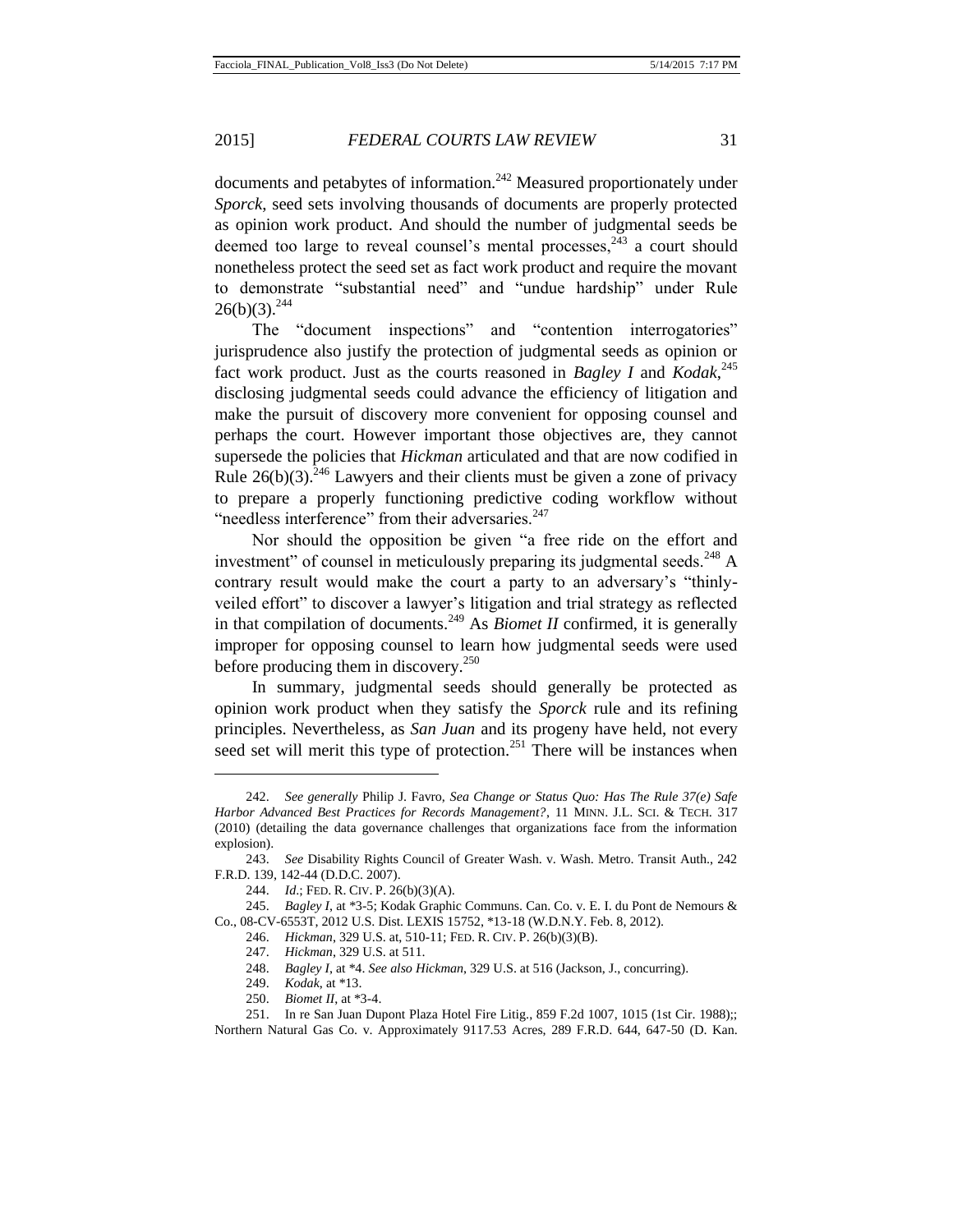documents and petabytes of information.<sup>242</sup> Measured proportionately under *Sporck*, seed sets involving thousands of documents are properly protected as opinion work product. And should the number of judgmental seeds be deemed too large to reveal counsel's mental processes, $243$  a court should nonetheless protect the seed set as fact work product and require the movant to demonstrate "substantial need" and "undue hardship" under Rule  $26(b)(3).^{244}$ 

The "document inspections" and "contention interrogatories" jurisprudence also justify the protection of judgmental seeds as opinion or fact work product. Just as the courts reasoned in *Bagley I* and *Kodak*, 245 disclosing judgmental seeds could advance the efficiency of litigation and make the pursuit of discovery more convenient for opposing counsel and perhaps the court. However important those objectives are, they cannot supersede the policies that *Hickman* articulated and that are now codified in Rule  $26(b)(3)$ <sup>246</sup> Lawyers and their clients must be given a zone of privacy to prepare a properly functioning predictive coding workflow without "needless interference" from their adversaries.<sup>247</sup>

Nor should the opposition be given "a free ride on the effort and investment" of counsel in meticulously preparing its judgmental seeds.<sup>248</sup> A contrary result would make the court a party to an adversary's "thinlyveiled effort" to discover a lawyer's litigation and trial strategy as reflected in that compilation of documents.<sup>249</sup> As *Biomet II* confirmed, it is generally improper for opposing counsel to learn how judgmental seeds were used before producing them in discovery. $^{250}$ 

In summary, judgmental seeds should generally be protected as opinion work product when they satisfy the *Sporck* rule and its refining principles. Nevertheless, as *San Juan* and its progeny have held, not every seed set will merit this type of protection.<sup>251</sup> There will be instances when

<sup>242.</sup> *See generally* Philip J. Favro, *Sea Change or Status Quo: Has The Rule 37(e) Safe Harbor Advanced Best Practices for Records Management?*, 11 MINN. J.L. SCI. & TECH. 317 (2010) (detailing the data governance challenges that organizations face from the information explosion).

<sup>243.</sup> *See* Disability Rights Council of Greater Wash. v. Wash. Metro. Transit Auth., 242 F.R.D. 139, 142-44 (D.D.C. 2007).

<sup>244.</sup> *Id*.; FED. R. CIV. P. 26(b)(3)(A).

<sup>245.</sup> *Bagley I*, at \*3-5; Kodak Graphic Communs. Can. Co. v. E. I. du Pont de Nemours & Co., 08-CV-6553T, 2012 U.S. Dist. LEXIS 15752, \*13-18 (W.D.N.Y. Feb. 8, 2012).

<sup>246.</sup> *Hickman*, 329 U.S. at, 510-11; FED. R. CIV. P. 26(b)(3)(B).

<sup>247.</sup> *Hickman*, 329 U.S. at 511.

<sup>248.</sup> *Bagley I*, at \*4. *See also Hickman*, 329 U.S. at 516 (Jackson, J., concurring).

<sup>249.</sup> *Kodak*, at \*13.

<sup>250.</sup> *Biomet II*, at \*3-4.

<sup>251.</sup> In re San Juan Dupont Plaza Hotel Fire Litig., 859 F.2d 1007, 1015 (1st Cir. 1988);;

Northern Natural Gas Co. v. Approximately 9117.53 Acres, 289 F.R.D. 644, 647-50 (D. Kan.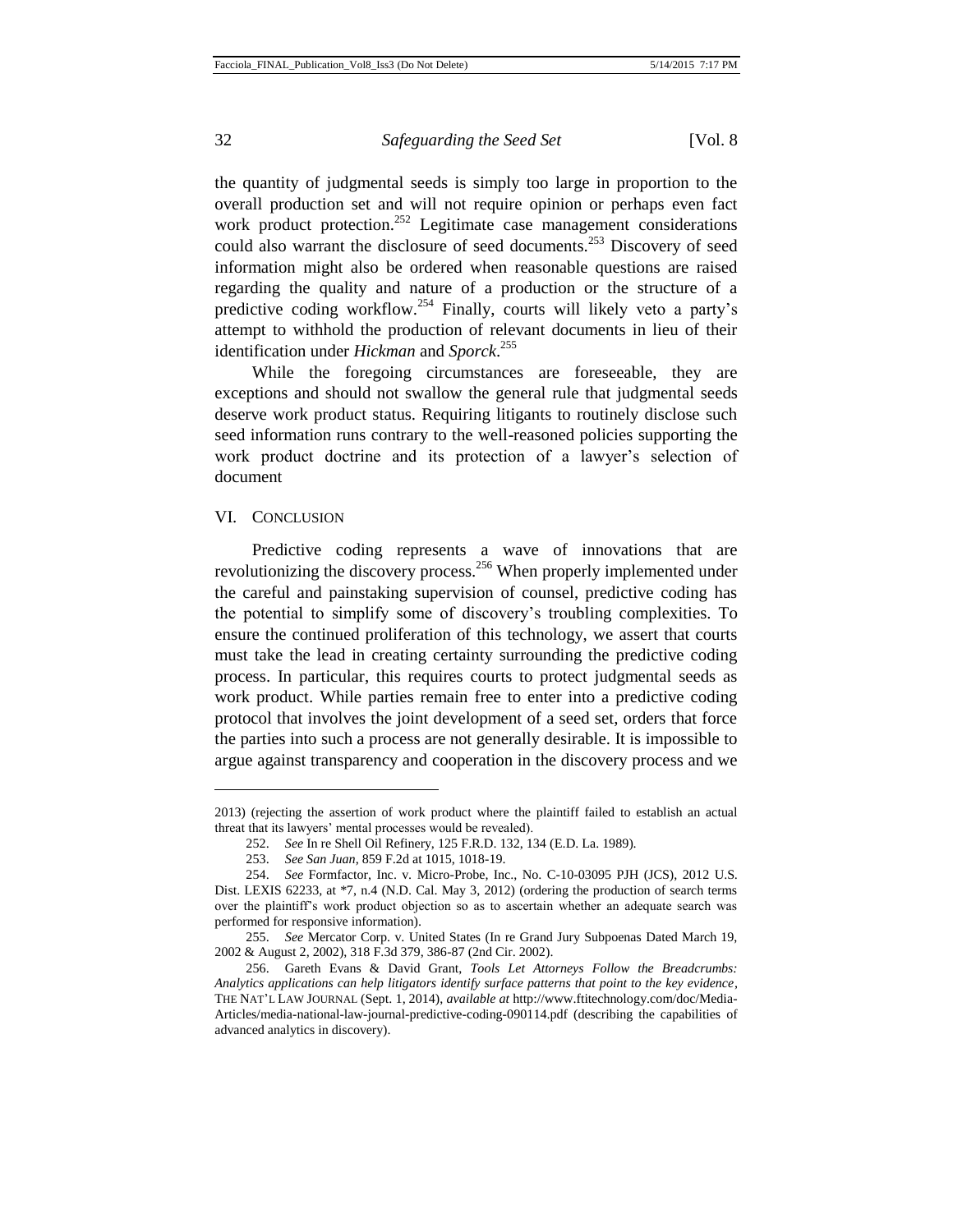the quantity of judgmental seeds is simply too large in proportion to the overall production set and will not require opinion or perhaps even fact work product protection.<sup>252</sup> Legitimate case management considerations could also warrant the disclosure of seed documents.<sup>253</sup> Discovery of seed information might also be ordered when reasonable questions are raised regarding the quality and nature of a production or the structure of a predictive coding workflow.<sup>254</sup> Finally, courts will likely veto a party's attempt to withhold the production of relevant documents in lieu of their identification under *Hickman* and *Sporck*. 255

While the foregoing circumstances are foreseeable, they are exceptions and should not swallow the general rule that judgmental seeds deserve work product status. Requiring litigants to routinely disclose such seed information runs contrary to the well-reasoned policies supporting the work product doctrine and its protection of a lawyer's selection of document

#### VI. CONCLUSION

l

Predictive coding represents a wave of innovations that are revolutionizing the discovery process.<sup>256</sup> When properly implemented under the careful and painstaking supervision of counsel, predictive coding has the potential to simplify some of discovery's troubling complexities. To ensure the continued proliferation of this technology, we assert that courts must take the lead in creating certainty surrounding the predictive coding process. In particular, this requires courts to protect judgmental seeds as work product. While parties remain free to enter into a predictive coding protocol that involves the joint development of a seed set, orders that force the parties into such a process are not generally desirable. It is impossible to argue against transparency and cooperation in the discovery process and we

<sup>2013) (</sup>rejecting the assertion of work product where the plaintiff failed to establish an actual threat that its lawyers' mental processes would be revealed).

<sup>252.</sup> *See* In re Shell Oil Refinery, 125 F.R.D. 132, 134 (E.D. La. 1989).

<sup>253.</sup> *See San Juan*, 859 F.2d at 1015, 1018-19.

<sup>254.</sup> *See* Formfactor, Inc. v. Micro-Probe, Inc., No. C-10-03095 PJH (JCS), 2012 U.S. Dist. LEXIS 62233, at \*7, n.4 (N.D. Cal. May 3, 2012) (ordering the production of search terms over the plaintiff's work product objection so as to ascertain whether an adequate search was performed for responsive information).

<sup>255.</sup> *See* Mercator Corp. v. United States (In re Grand Jury Subpoenas Dated March 19, 2002 & August 2, 2002), 318 F.3d 379, 386-87 (2nd Cir. 2002).

<sup>256.</sup> Gareth Evans & David Grant, *Tools Let Attorneys Follow the Breadcrumbs: Analytics applications can help litigators identify surface patterns that point to the key evidence*, THE NAT'L LAW JOURNAL (Sept. 1, 2014), *available at* http://www.ftitechnology.com/doc/Media-Articles/media-national-law-journal-predictive-coding-090114.pdf (describing the capabilities of advanced analytics in discovery).